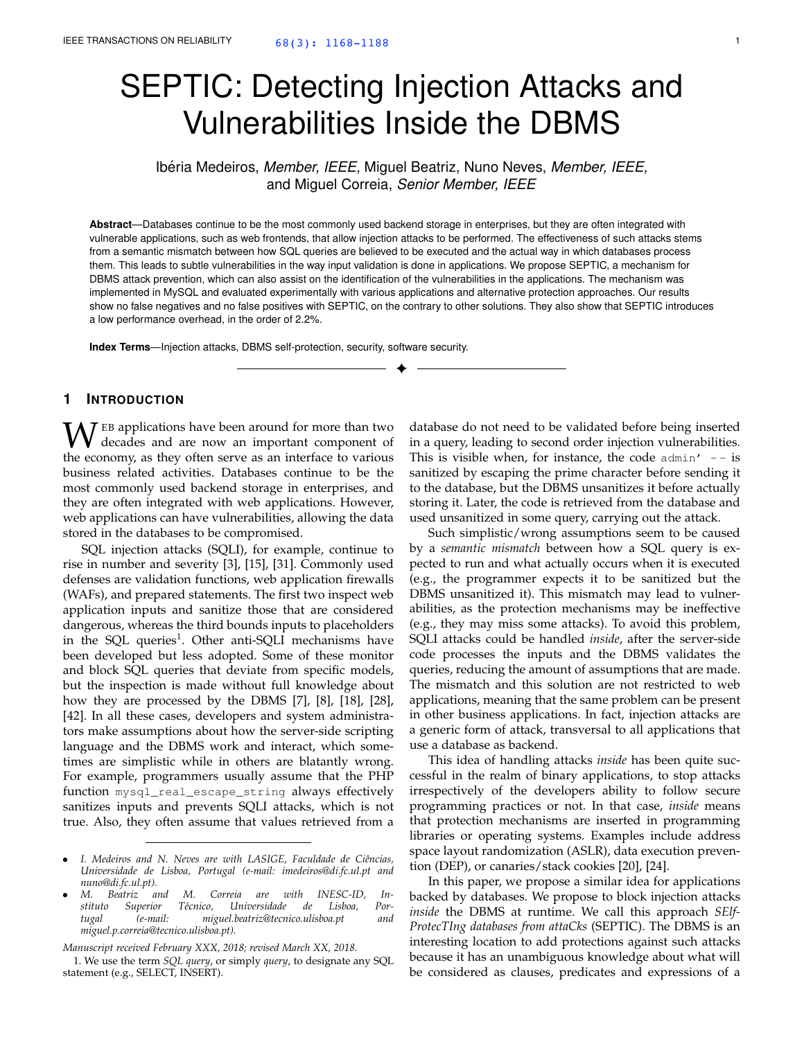# SEPTIC: Detecting Injection Attacks and Vulnerabilities Inside the DBMS

Ibéria Medeiros, *Member, IEEE,* Miguel Beatriz, Nuno Neves, *Member, IEEE,* and Miguel Correia, *Senior Member, IEEE*

**Abstract**—Databases continue to be the most commonly used backend storage in enterprises, but they are often integrated with vulnerable applications, such as web frontends, that allow injection attacks to be performed. The effectiveness of such attacks stems from a semantic mismatch between how SQL queries are believed to be executed and the actual way in which databases process them. This leads to subtle vulnerabilities in the way input validation is done in applications. We propose SEPTIC, a mechanism for DBMS attack prevention, which can also assist on the identification of the vulnerabilities in the applications. The mechanism was implemented in MySQL and evaluated experimentally with various applications and alternative protection approaches. Our results show no false negatives and no false positives with SEPTIC, on the contrary to other solutions. They also show that SEPTIC introduces a low performance overhead, in the order of 2.2%.

✦

**Index Terms**—Injection attacks, DBMS self-protection, security, software security.

# **1 INTRODUCTION**

 $\mathbf{W}$  EB applications have been around for more than two decades and are now an important component of the economy as they often serve as an interface to various the economy, as they often serve as an interface to various business related activities. Databases continue to be the most commonly used backend storage in enterprises, and they are often integrated with web applications. However, web applications can have vulnerabilities, allowing the data stored in the databases to be compromised.

SQL injection attacks (SQLI), for example, continue to rise in number and severity [3], [15], [31]. Commonly used defenses are validation functions, web application firewalls (WAFs), and prepared statements. The first two inspect web application inputs and sanitize those that are considered dangerous, whereas the third bounds inputs to placeholders in the SQL queries<sup>1</sup>. Other anti-SQLI mechanisms have been developed but less adopted. Some of these monitor and block SQL queries that deviate from specific models, but the inspection is made without full knowledge about how they are processed by the DBMS [7], [8], [18], [28], [42]. In all these cases, developers and system administrators make assumptions about how the server-side scripting language and the DBMS work and interact, which sometimes are simplistic while in others are blatantly wrong. For example, programmers usually assume that the PHP function mysql\_real\_escape\_string always effectively sanitizes inputs and prevents SQLI attacks, which is not true. Also, they often assume that values retrieved from a

*Manuscript received February XXX, 2018; revised March XX, 2018.*

1. We use the term *SQL query*, or simply *query*, to designate any SQL statement (e.g., SELECT, INSERT).

database do not need to be validated before being inserted in a query, leading to second order injection vulnerabilities. This is visible when, for instance, the code  $\alpha$  admin'  $-$  - is sanitized by escaping the prime character before sending it to the database, but the DBMS unsanitizes it before actually storing it. Later, the code is retrieved from the database and used unsanitized in some query, carrying out the attack.

Such simplistic/wrong assumptions seem to be caused by a *semantic mismatch* between how a SQL query is expected to run and what actually occurs when it is executed (e.g., the programmer expects it to be sanitized but the DBMS unsanitized it). This mismatch may lead to vulnerabilities, as the protection mechanisms may be ineffective (e.g., they may miss some attacks). To avoid this problem, SQLI attacks could be handled *inside*, after the server-side code processes the inputs and the DBMS validates the queries, reducing the amount of assumptions that are made. The mismatch and this solution are not restricted to web applications, meaning that the same problem can be present in other business applications. In fact, injection attacks are a generic form of attack, transversal to all applications that use a database as backend.

This idea of handling attacks *inside* has been quite successful in the realm of binary applications, to stop attacks irrespectively of the developers ability to follow secure programming practices or not. In that case, *inside* means that protection mechanisms are inserted in programming libraries or operating systems. Examples include address space layout randomization (ASLR), data execution prevention (DEP), or canaries/stack cookies [20], [24].

In this paper, we propose a similar idea for applications backed by databases. We propose to block injection attacks *inside* the DBMS at runtime. We call this approach *SElf-ProtecTIng databases from attaCks* (SEPTIC). The DBMS is an interesting location to add protections against such attacks because it has an unambiguous knowledge about what will be considered as clauses, predicates and expressions of a

<sup>•</sup> *I. Medeiros and N. Neves are with LASIGE, Faculdade de Ciˆencias, Universidade de Lisboa, Portugal (e-mail: imedeiros@di.fc.ul.pt and nuno@di.fc.ul.pt).*

<sup>•</sup> *M. Beatriz and M. Correia are with INESC-ID, In*stituto Superior Técnico, Universidade de Lisboa, Por-<br>tugal (e-mail: miguel.beatriz@tecnico.ulisboa.pt and *tugal (e-mail: miguel.beatriz@tecnico.ulisboa.pt and miguel.p.correia@tecnico.ulisboa.pt).*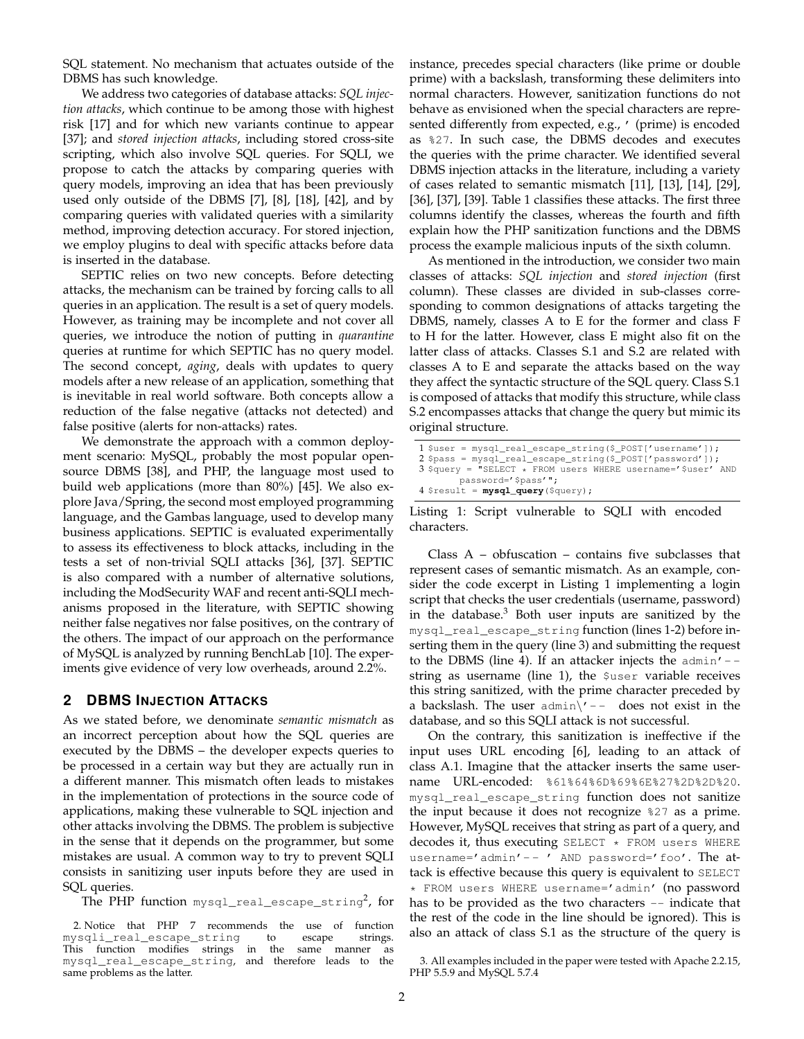SQL statement. No mechanism that actuates outside of the DBMS has such knowledge.

We address two categories of database attacks: *SQL injection attacks*, which continue to be among those with highest risk [17] and for which new variants continue to appear [37]; and *stored injection attacks*, including stored cross-site scripting, which also involve SQL queries. For SQLI, we propose to catch the attacks by comparing queries with query models, improving an idea that has been previously used only outside of the DBMS [7], [8], [18], [42], and by comparing queries with validated queries with a similarity method, improving detection accuracy. For stored injection, we employ plugins to deal with specific attacks before data is inserted in the database.

SEPTIC relies on two new concepts. Before detecting attacks, the mechanism can be trained by forcing calls to all queries in an application. The result is a set of query models. However, as training may be incomplete and not cover all queries, we introduce the notion of putting in *quarantine* queries at runtime for which SEPTIC has no query model. The second concept, *aging*, deals with updates to query models after a new release of an application, something that is inevitable in real world software. Both concepts allow a reduction of the false negative (attacks not detected) and false positive (alerts for non-attacks) rates.

We demonstrate the approach with a common deployment scenario: MySQL, probably the most popular opensource DBMS [38], and PHP, the language most used to build web applications (more than 80%) [45]. We also explore Java/Spring, the second most employed programming language, and the Gambas language, used to develop many business applications. SEPTIC is evaluated experimentally to assess its effectiveness to block attacks, including in the tests a set of non-trivial SQLI attacks [36], [37]. SEPTIC is also compared with a number of alternative solutions, including the ModSecurity WAF and recent anti-SQLI mechanisms proposed in the literature, with SEPTIC showing neither false negatives nor false positives, on the contrary of the others. The impact of our approach on the performance of MySQL is analyzed by running BenchLab [10]. The experiments give evidence of very low overheads, around 2.2%.

# **2 DBMS INJECTION ATTACKS**

As we stated before, we denominate *semantic mismatch* as an incorrect perception about how the SQL queries are executed by the DBMS – the developer expects queries to be processed in a certain way but they are actually run in a different manner. This mismatch often leads to mistakes in the implementation of protections in the source code of applications, making these vulnerable to SQL injection and other attacks involving the DBMS. The problem is subjective in the sense that it depends on the programmer, but some mistakes are usual. A common way to try to prevent SQLI consists in sanitizing user inputs before they are used in SQL queries.

The PHP function  $\texttt{mysql\_real\_escape\_string}^2$ , for

2. Notice that PHP 7 recommends the use of function ysqli\_real\_escape\_string to escape strings. mysqli\_real\_escape\_string This function modifies strings in the same manner as mysql\_real\_escape\_string, and therefore leads to the same problems as the latter.

instance, precedes special characters (like prime or double prime) with a backslash, transforming these delimiters into normal characters. However, sanitization functions do not behave as envisioned when the special characters are represented differently from expected, e.g., ' (prime) is encoded as %27. In such case, the DBMS decodes and executes the queries with the prime character. We identified several DBMS injection attacks in the literature, including a variety of cases related to semantic mismatch [11], [13], [14], [29], [36], [37], [39]. Table 1 classifies these attacks. The first three columns identify the classes, whereas the fourth and fifth explain how the PHP sanitization functions and the DBMS process the example malicious inputs of the sixth column.

As mentioned in the introduction, we consider two main classes of attacks: *SQL injection* and *stored injection* (first column). These classes are divided in sub-classes corresponding to common designations of attacks targeting the DBMS, namely, classes A to E for the former and class F to H for the latter. However, class E might also fit on the latter class of attacks. Classes S.1 and S.2 are related with classes A to E and separate the attacks based on the way they affect the syntactic structure of the SQL query. Class S.1 is composed of attacks that modify this structure, while class S.2 encompasses attacks that change the query but mimic its original structure.

| $1$ \$user = mysql_real_escape_string(\$_POST['username']);      |
|------------------------------------------------------------------|
| 2 \$pass = $mysql\_real\_escape\_string$ (\$_POST['password']);  |
| $3$ \$query = "SELECT $*$ FROM users WHERE username='\$user' AND |
| password='\$pass'";                                              |
| $4$ \$result = $mysg1$ query (\$query);                          |

Listing 1: Script vulnerable to SQLI with encoded characters.

Class  $A - obfuscation - contains five subclasses that$ represent cases of semantic mismatch. As an example, consider the code excerpt in Listing 1 implementing a login script that checks the user credentials (username, password) in the database.<sup>3</sup> Both user inputs are sanitized by the mysql\_real\_escape\_string function (lines 1-2) before inserting them in the query (line 3) and submitting the request to the DBMS (line 4). If an attacker injects the  $\alpha$ dmin' -string as username (line 1), the \$user variable receives this string sanitized, with the prime character preceded by a backslash. The user  $admin\}'$  -- does not exist in the database, and so this SQLI attack is not successful.

On the contrary, this sanitization is ineffective if the input uses URL encoding [6], leading to an attack of class A.1. Imagine that the attacker inserts the same username URL-encoded: %61%64%6D%69%6E%27%2D%2D%20. mysql\_real\_escape\_string function does not sanitize the input because it does not recognize %27 as a prime. However, MySQL receives that string as part of a query, and decodes it, thus executing SELECT \* FROM users WHERE username='admin' -- ' AND password=' foo'. The attack is effective because this query is equivalent to SELECT \* FROM users WHERE username='admin' (no password has to be provided as the two characters  $-$  indicate that the rest of the code in the line should be ignored). This is also an attack of class S.1 as the structure of the query is

<sup>3.</sup> All examples included in the paper were tested with Apache 2.2.15, PHP 5.5.9 and MySQL 5.7.4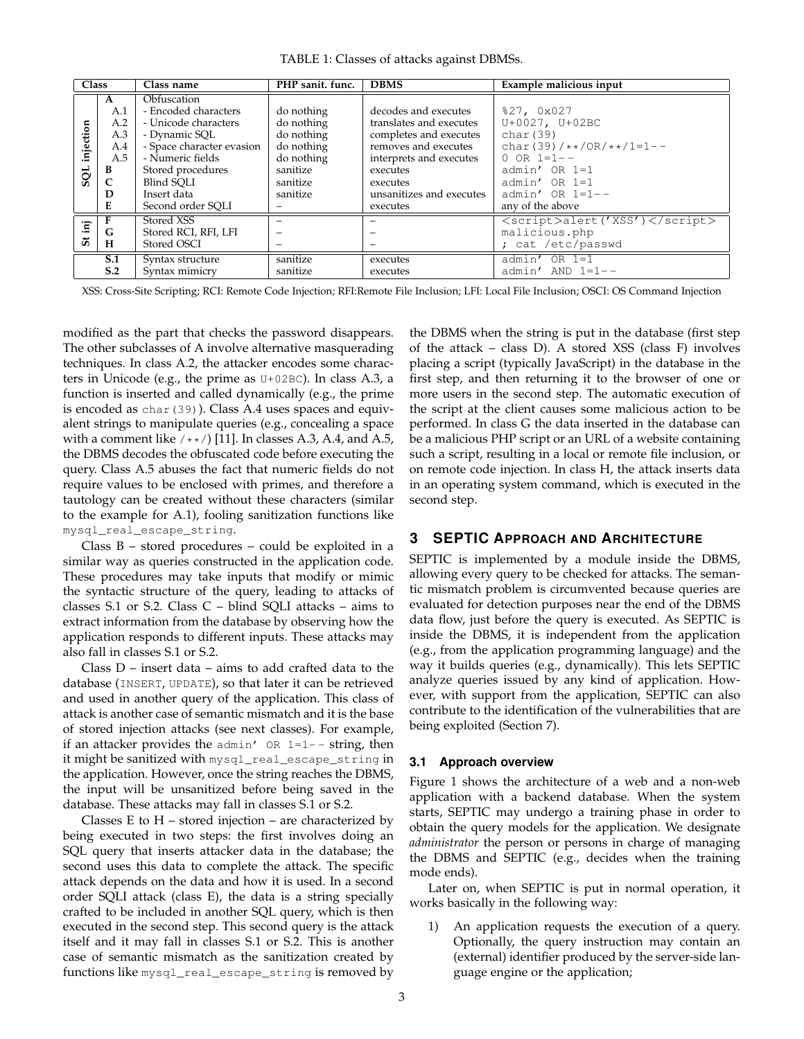TABLE 1: Classes of attacks against DBMSs.

| <b>Class</b> |              | Class name                | PHP sanit. func.                     | <b>DBMS</b>             | Example malicious input       |  |
|--------------|--------------|---------------------------|--------------------------------------|-------------------------|-------------------------------|--|
|              | A            | Obfuscation               |                                      |                         |                               |  |
|              | A.1          | - Encoded characters      | do nothing                           | decodes and executes    | %27, 0x027                    |  |
|              | A.2          | - Unicode characters      | do nothing                           | translates and executes | $U+0027$ , $U+02BC$           |  |
|              | A.3          | - Dynamic SOL             | do nothing                           | completes and executes  | char(39)                      |  |
| injection    | A.4          | - Space character evasion | do nothing                           | removes and executes    | char(39)/**/0R/**/1=1--       |  |
|              | A.5          | - Numeric fields          | do nothing                           | interprets and executes | $0$ OR $1=1-$                 |  |
| SQL          | B            | Stored procedures         | sanitize                             | executes                | $admin' OR 1=1$               |  |
|              | $\mathsf{C}$ | Blind SOLI                | sanitize                             | executes                | $admin' OR 1=1$               |  |
|              | D            | Insert data               | unsanitizes and executes<br>sanitize |                         | $admin' OR 1=1--$             |  |
|              | Е            | Second order SOLI         |                                      | executes                | any of the above              |  |
|              |              | Stored XSS                |                                      |                         | <script>alert('XSS')</script> |  |
| $\ddot{m}$   | G            | Stored RCI, RFI, LFI      |                                      |                         | malicious.php                 |  |
| 5            | н            | Stored OSCI               |                                      |                         | ; cat /etc/passwd             |  |
|              | S.1          | Syntax structure          | sanitize                             | executes                | $admin' OR 1=1$               |  |
|              | S.2          | Syntax mimicry            | sanitize                             | executes                | $admin'$ AND $1=1--$          |  |

XSS: Cross-Site Scripting; RCI: Remote Code Injection; RFI:Remote File Inclusion; LFI: Local File Inclusion; OSCI: OS Command Injection

modified as the part that checks the password disappears. The other subclasses of A involve alternative masquerading techniques. In class A.2, the attacker encodes some characters in Unicode (e.g., the prime as U+02BC). In class A.3, a function is inserted and called dynamically (e.g., the prime is encoded as char(39)). Class A.4 uses spaces and equivalent strings to manipulate queries (e.g., concealing a space with a comment like  $/**/$  [11]. In classes A.3, A.4, and A.5, the DBMS decodes the obfuscated code before executing the query. Class A.5 abuses the fact that numeric fields do not require values to be enclosed with primes, and therefore a tautology can be created without these characters (similar to the example for A.1), fooling sanitization functions like mysql\_real\_escape\_string.

Class B – stored procedures – could be exploited in a similar way as queries constructed in the application code. These procedures may take inputs that modify or mimic the syntactic structure of the query, leading to attacks of classes S.1 or S.2. Class C – blind SQLI attacks – aims to extract information from the database by observing how the application responds to different inputs. These attacks may also fall in classes S.1 or S.2.

Class D – insert data – aims to add crafted data to the database (INSERT, UPDATE), so that later it can be retrieved and used in another query of the application. This class of attack is another case of semantic mismatch and it is the base of stored injection attacks (see next classes). For example, if an attacker provides the admin'  $OR 1=1--$  string, then it might be sanitized with mysql\_real\_escape\_string in the application. However, once the string reaches the DBMS, the input will be unsanitized before being saved in the database. These attacks may fall in classes S.1 or S.2.

Classes E to  $H$  – stored injection – are characterized by being executed in two steps: the first involves doing an SQL query that inserts attacker data in the database; the second uses this data to complete the attack. The specific attack depends on the data and how it is used. In a second order SQLI attack (class E), the data is a string specially crafted to be included in another SQL query, which is then executed in the second step. This second query is the attack itself and it may fall in classes S.1 or S.2. This is another case of semantic mismatch as the sanitization created by functions like mysql\_real\_escape\_string is removed by

the DBMS when the string is put in the database (first step of the attack – class D). A stored XSS (class F) involves placing a script (typically JavaScript) in the database in the first step, and then returning it to the browser of one or more users in the second step. The automatic execution of the script at the client causes some malicious action to be performed. In class G the data inserted in the database can be a malicious PHP script or an URL of a website containing such a script, resulting in a local or remote file inclusion, or on remote code injection. In class H, the attack inserts data in an operating system command, which is executed in the second step.

# **3 SEPTIC APPROACH AND ARCHITECTURE**

SEPTIC is implemented by a module inside the DBMS, allowing every query to be checked for attacks. The semantic mismatch problem is circumvented because queries are evaluated for detection purposes near the end of the DBMS data flow, just before the query is executed. As SEPTIC is inside the DBMS, it is independent from the application (e.g., from the application programming language) and the way it builds queries (e.g., dynamically). This lets SEPTIC analyze queries issued by any kind of application. However, with support from the application, SEPTIC can also contribute to the identification of the vulnerabilities that are being exploited (Section 7).

## **3.1 Approach overview**

Figure 1 shows the architecture of a web and a non-web application with a backend database. When the system starts, SEPTIC may undergo a training phase in order to obtain the query models for the application. We designate *administrator* the person or persons in charge of managing the DBMS and SEPTIC (e.g., decides when the training mode ends).

Later on, when SEPTIC is put in normal operation, it works basically in the following way:

1) An application requests the execution of a query. Optionally, the query instruction may contain an (external) identifier produced by the server-side language engine or the application;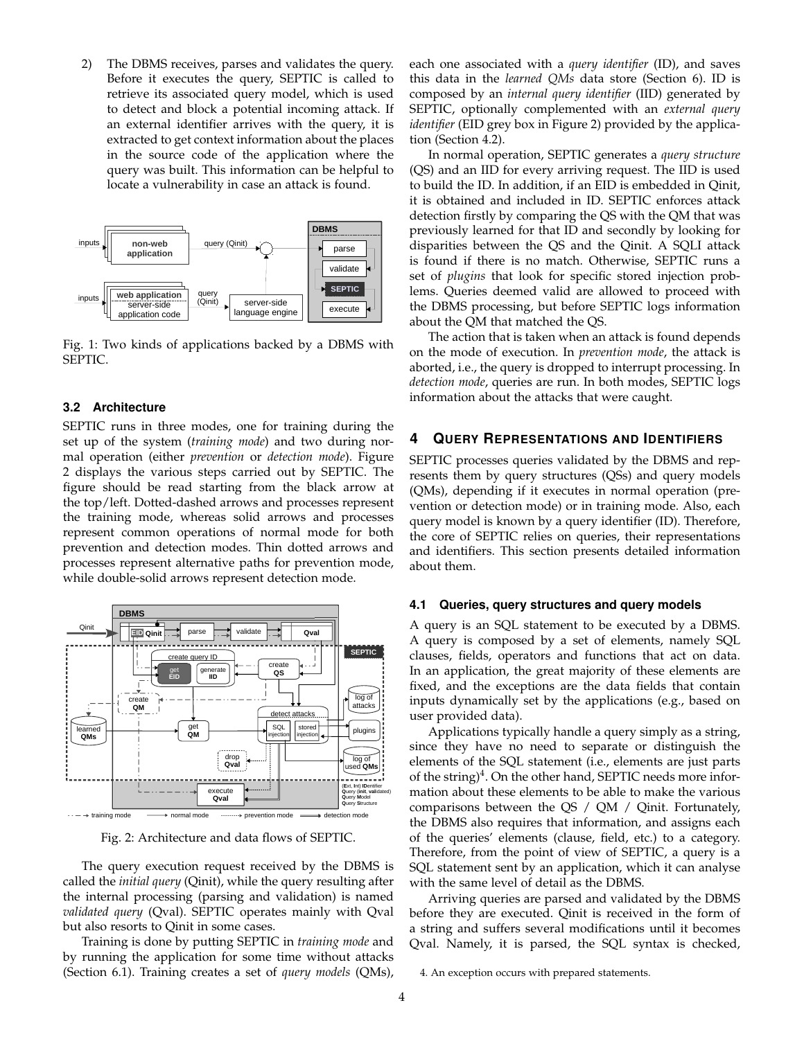2) The DBMS receives, parses and validates the query. Before it executes the query, SEPTIC is called to retrieve its associated query model, which is used to detect and block a potential incoming attack. If an external identifier arrives with the query, it is extracted to get context information about the places in the source code of the application where the query was built. This information can be helpful to locate a vulnerability in case an attack is found.



Fig. 1: Two kinds of applications backed by a DBMS with SEPTIC.

## **3.2 Architecture**

SEPTIC runs in three modes, one for training during the set up of the system (*training mode*) and two during normal operation (either *prevention* or *detection mode*). Figure 2 displays the various steps carried out by SEPTIC. The figure should be read starting from the black arrow at the top/left. Dotted-dashed arrows and processes represent the training mode, whereas solid arrows and processes represent common operations of normal mode for both prevention and detection modes. Thin dotted arrows and processes represent alternative paths for prevention mode, while double-solid arrows represent detection mode.



Fig. 2: Architecture and data flows of SEPTIC.

The query execution request received by the DBMS is called the *initial query* (Qinit), while the query resulting after the internal processing (parsing and validation) is named *validated query* (Qval). SEPTIC operates mainly with Qval but also resorts to Qinit in some cases.

Training is done by putting SEPTIC in *training mode* and by running the application for some time without attacks (Section 6.1). Training creates a set of *query models* (QMs),

each one associated with a *query identifier* (ID), and saves this data in the *learned QMs* data store (Section 6). ID is composed by an *internal query identifier* (IID) generated by SEPTIC, optionally complemented with an *external query identifier* (EID grey box in Figure 2) provided by the application (Section 4.2).

In normal operation, SEPTIC generates a *query structure* (QS) and an IID for every arriving request. The IID is used to build the ID. In addition, if an EID is embedded in Qinit, it is obtained and included in ID. SEPTIC enforces attack detection firstly by comparing the QS with the QM that was previously learned for that ID and secondly by looking for disparities between the QS and the Qinit. A SQLI attack is found if there is no match. Otherwise, SEPTIC runs a set of *plugins* that look for specific stored injection problems. Queries deemed valid are allowed to proceed with the DBMS processing, but before SEPTIC logs information about the QM that matched the QS.

The action that is taken when an attack is found depends on the mode of execution. In *prevention mode*, the attack is aborted, i.e., the query is dropped to interrupt processing. In *detection mode*, queries are run. In both modes, SEPTIC logs information about the attacks that were caught.

## **4 QUERY REPRESENTATIONS AND IDENTIFIERS**

SEPTIC processes queries validated by the DBMS and represents them by query structures (QSs) and query models (QMs), depending if it executes in normal operation (prevention or detection mode) or in training mode. Also, each query model is known by a query identifier (ID). Therefore, the core of SEPTIC relies on queries, their representations and identifiers. This section presents detailed information about them.

## **4.1 Queries, query structures and query models**

A query is an SQL statement to be executed by a DBMS. A query is composed by a set of elements, namely SQL clauses, fields, operators and functions that act on data. In an application, the great majority of these elements are fixed, and the exceptions are the data fields that contain inputs dynamically set by the applications (e.g., based on user provided data).

Applications typically handle a query simply as a string, since they have no need to separate or distinguish the elements of the SQL statement (i.e., elements are just parts of the string)<sup>4</sup>. On the other hand, SEPTIC needs more information about these elements to be able to make the various comparisons between the QS / QM / Qinit. Fortunately, the DBMS also requires that information, and assigns each of the queries' elements (clause, field, etc.) to a category. Therefore, from the point of view of SEPTIC, a query is a SQL statement sent by an application, which it can analyse with the same level of detail as the DBMS.

Arriving queries are parsed and validated by the DBMS before they are executed. Qinit is received in the form of a string and suffers several modifications until it becomes Qval. Namely, it is parsed, the SQL syntax is checked,

<sup>4.</sup> An exception occurs with prepared statements.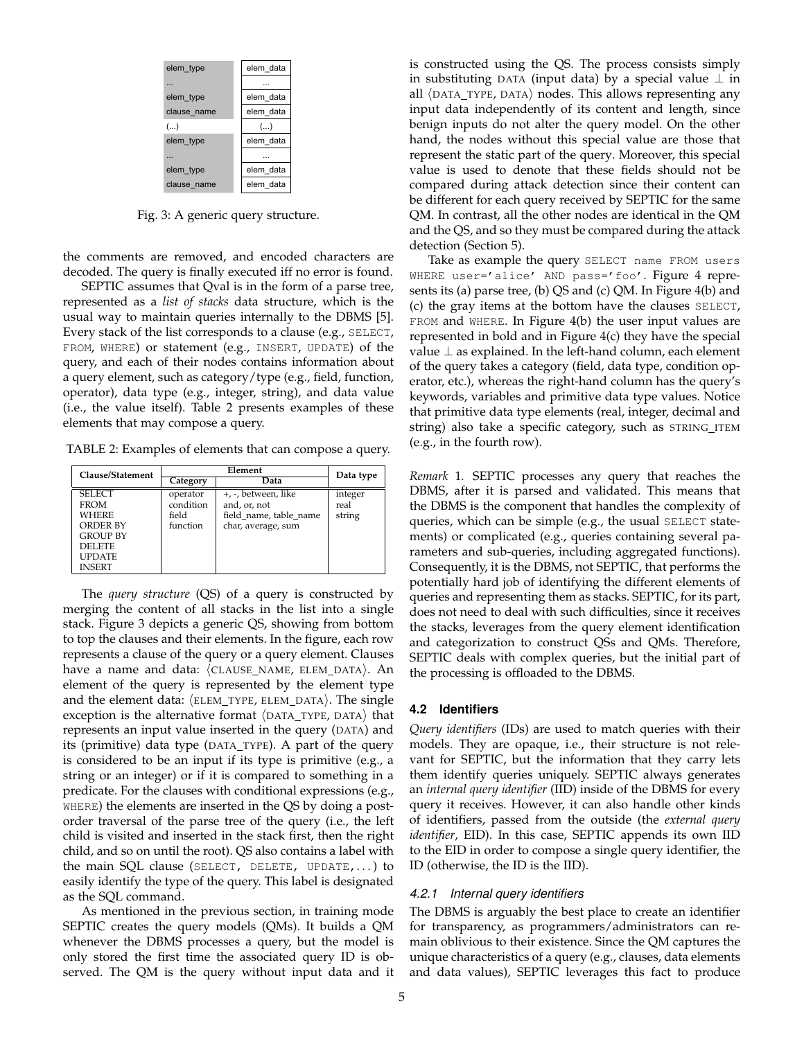| elem type   | elem data |
|-------------|-----------|
|             |           |
| elem_type   | elem data |
| clause name | elem data |
| ()          | ()        |
| elem type   | elem data |
|             |           |
| elem_type   | elem data |
| clause name | elem data |

Fig. 3: A generic query structure.

the comments are removed, and encoded characters are decoded. The query is finally executed iff no error is found.

SEPTIC assumes that Qval is in the form of a parse tree, represented as a *list of stacks* data structure, which is the usual way to maintain queries internally to the DBMS [5]. Every stack of the list corresponds to a clause (e.g., SELECT, FROM, WHERE) or statement (e.g., INSERT, UPDATE) of the query, and each of their nodes contains information about a query element, such as category/type (e.g., field, function, operator), data type (e.g., integer, string), and data value (i.e., the value itself). Table 2 presents examples of these elements that may compose a query.

TABLE 2: Examples of elements that can compose a query.

| Clause/Statement                                                                                                                      |                                            | Data type                                                                           |                           |  |
|---------------------------------------------------------------------------------------------------------------------------------------|--------------------------------------------|-------------------------------------------------------------------------------------|---------------------------|--|
|                                                                                                                                       | Category                                   | Data                                                                                |                           |  |
| <b>SELECT</b><br><b>FROM</b><br><b>WHERE</b><br><b>ORDER BY</b><br><b>GROUP BY</b><br><b>DELETE</b><br><b>UPDATE</b><br><b>INSERT</b> | operator<br>condition<br>field<br>function | +, -, between, like<br>and, or, not<br>field name, table name<br>char, average, sum | integer<br>real<br>string |  |

The *query structure* (QS) of a query is constructed by merging the content of all stacks in the list into a single stack. Figure 3 depicts a generic QS, showing from bottom to top the clauses and their elements. In the figure, each row represents a clause of the query or a query element. Clauses have a name and data:  $\langle$ CLAUSE\_NAME, ELEM\_DATA $\rangle$ . An element of the query is represented by the element type and the element data:  $\langle$  ELEM\_TYPE, ELEM\_DATA $\rangle$ . The single exception is the alternative format  $\langle$ DATA\_TYPE, DATA $\rangle$  that represents an input value inserted in the query (DATA) and its (primitive) data type (DATA TYPE). A part of the query is considered to be an input if its type is primitive (e.g., a string or an integer) or if it is compared to something in a predicate. For the clauses with conditional expressions (e.g., WHERE) the elements are inserted in the QS by doing a postorder traversal of the parse tree of the query (i.e., the left child is visited and inserted in the stack first, then the right child, and so on until the root). QS also contains a label with the main SQL clause (SELECT, DELETE, UPDATE,. . . ) to easily identify the type of the query. This label is designated as the SQL command.

As mentioned in the previous section, in training mode SEPTIC creates the query models (QMs). It builds a QM whenever the DBMS processes a query, but the model is only stored the first time the associated query ID is observed. The QM is the query without input data and it

is constructed using the QS. The process consists simply in substituting <code>DATA</code> (input data) by a special value  $\perp$  in all  $\langle$ DATA\_TYPE, DATA $\rangle$  nodes. This allows representing any input data independently of its content and length, since benign inputs do not alter the query model. On the other hand, the nodes without this special value are those that represent the static part of the query. Moreover, this special value is used to denote that these fields should not be compared during attack detection since their content can be different for each query received by SEPTIC for the same QM. In contrast, all the other nodes are identical in the QM and the QS, and so they must be compared during the attack detection (Section 5).

> Take as example the query SELECT name FROM users WHERE user='alice' AND pass='foo'. Figure 4 represents its (a) parse tree, (b) QS and (c) QM. In Figure 4(b) and (c) the gray items at the bottom have the clauses SELECT, FROM and WHERE. In Figure 4(b) the user input values are represented in bold and in Figure 4(c) they have the special value  $\perp$  as explained. In the left-hand column, each element of the query takes a category (field, data type, condition operator, etc.), whereas the right-hand column has the query's keywords, variables and primitive data type values. Notice that primitive data type elements (real, integer, decimal and string) also take a specific category, such as STRING\_ITEM (e.g., in the fourth row).

> *Remark* 1*.* SEPTIC processes any query that reaches the DBMS, after it is parsed and validated. This means that the DBMS is the component that handles the complexity of queries, which can be simple (e.g., the usual SELECT statements) or complicated (e.g., queries containing several parameters and sub-queries, including aggregated functions). Consequently, it is the DBMS, not SEPTIC, that performs the potentially hard job of identifying the different elements of queries and representing them as stacks. SEPTIC, for its part, does not need to deal with such difficulties, since it receives the stacks, leverages from the query element identification and categorization to construct QSs and QMs. Therefore, SEPTIC deals with complex queries, but the initial part of the processing is offloaded to the DBMS.

## **4.2 Identifiers**

*Query identifiers* (IDs) are used to match queries with their models. They are opaque, i.e., their structure is not relevant for SEPTIC, but the information that they carry lets them identify queries uniquely. SEPTIC always generates an *internal query identifier* (IID) inside of the DBMS for every query it receives. However, it can also handle other kinds of identifiers, passed from the outside (the *external query identifier*, EID). In this case, SEPTIC appends its own IID to the EID in order to compose a single query identifier, the ID (otherwise, the ID is the IID).

## *4.2.1 Internal query identifiers*

The DBMS is arguably the best place to create an identifier for transparency, as programmers/administrators can remain oblivious to their existence. Since the QM captures the unique characteristics of a query (e.g., clauses, data elements and data values), SEPTIC leverages this fact to produce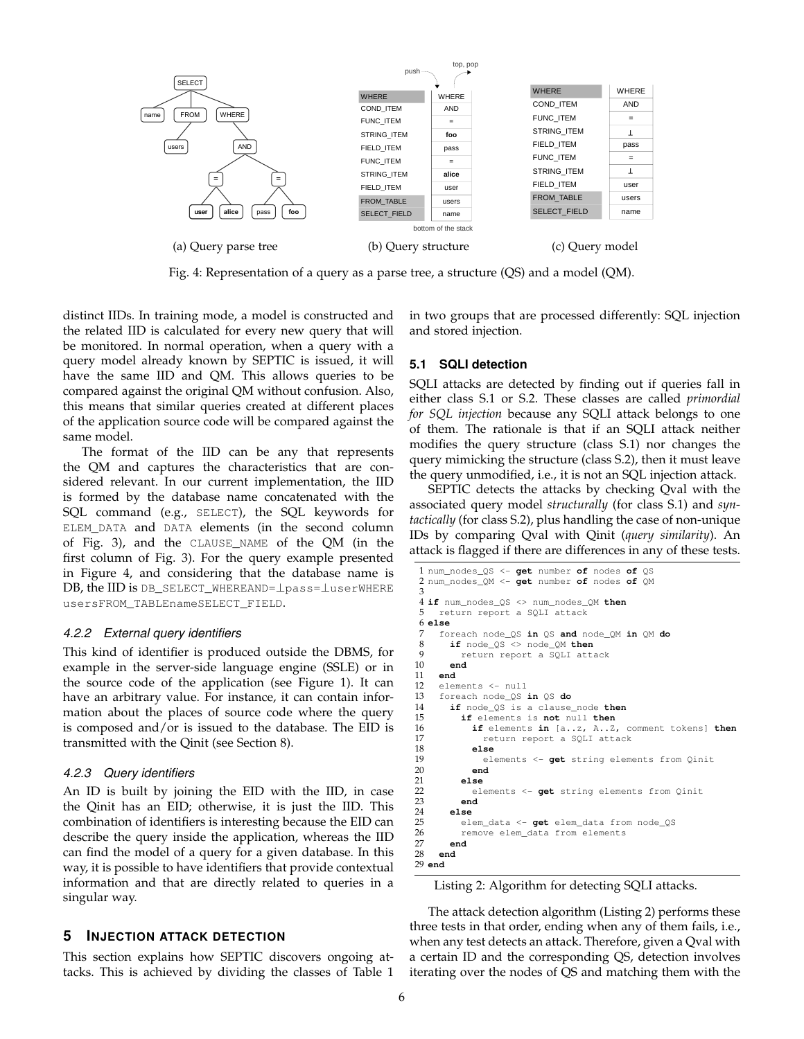

Fig. 4: Representation of a query as a parse tree, a structure  $(QS)$  and a model  $(QM)$ .

INT\_ITEM **1** distinct IIDs. In training mode*,* a model is constructed and the related IID is calculated for every new query that will be monitored. In normal operation*,* when a query with a query model already known by SEPTIC is issued, it will  $\mathbf{F}$   $\mathbf{F}$   $\mathbf{F}$   $\mathbf{F}$   $\mathbf{F}$   $\mathbf{F}$   $\mathbf{F}$   $\mathbf{F}$   $\mathbf{F}$   $\mathbf{F}$   $\mathbf{F}$   $\mathbf{F}$   $\mathbf{F}$   $\mathbf{F}$   $\mathbf{F}$   $\mathbf{F}$   $\mathbf{F}$   $\mathbf{F}$   $\mathbf{F}$   $\mathbf{F}$   $\mathbf{F}$   $\mathbf{F}$   $\mathbf{F}$   $\mathbf{F}$   $\mathbf{$ have the same IID and QM. This allows queries to be compared against the original QM without confusion. Also, this means that similar queries created at different places of the application source code will be compared against the same model.

The format of the IID can be any that represents the QM and captures the characteristics that are considered relevant. In our current implementation, the IID is formed by the database name concatenated with the SQL command (e.g., SELECT), the SQL keywords for ELEM\_DATA and DATA elements (in the second column of Fig. 3), and the CLAUSE\_NAME of the QM (in the first column of Fig. 3). For the query example presented in Figure 4, and considering that the database name is DB, the IID is DB\_SELECT\_WHEREAND=⊥pass=⊥userWHERE usersFROM\_TABLEnameSELECT\_FIELD.

## *4.2.2 External query identifiers*

This kind of identifier is produced outside the DBMS, for example in the server-side language engine (SSLE) or in the source code of the application (see Figure 1). It can have an arbitrary value. For instance, it can contain information about the places of source code where the query is composed and/or is issued to the database. The EID is transmitted with the Qinit (see Section 8).

#### *4.2.3 Query identifiers*

An ID is built by joining the EID with the IID, in case the Qinit has an EID; otherwise, it is just the IID. This combination of identifiers is interesting because the EID can describe the query inside the application, whereas the IID can find the model of a query for a given database. In this way, it is possible to have identifiers that provide contextual information and that are directly related to queries in a singular way.

## **5 INJECTION ATTACK DETECTION**

This section explains how SEPTIC discovers ongoing attacks. This is achieved by dividing the classes of Table 1

and in two groups that are processed differently: SQL injection  $\mathbf{F}$ will and stored injection. INTERNATIONAL COMPANY OF THE CONTINUES.

#### **5.1 SQLI detection**

SQLI attacks are detected by finding out if queries fall in FROM\_TABLE users either class S.1 or S.2. These classes are called *primordial for SQL injection* because any SQLI attack belongs to one of them. The rationale is that if an SQLI attack neither modifies the query structure (class S.1) nor changes the query mimicking the structure (class S.2), then it must leave the query unmodified, i.e., it is not an SQL injection attack.

SEPTIC detects the attacks by checking Qval with the associated query model *structurally* (for class S.1) and *syntactically* (for class S.2), plus handling the case of non-unique IDs by comparing Qval with Qinit (*query similarity*). An attack is flagged if there are differences in any of these tests.

```
1 num_nodes_QS <- get number of nodes of QS
2 num_nodes_QM <- get number of nodes of QM
3
4 if num_nodes_QS <> num_nodes_QM then
  5 return report a SQLI attack
6 else
7 foreach node_QS in QS and node_QM in QM do
8 if node_QS <> node_QM then
9 return report a SQLI attack<br>10 end
10 end
11 end
    elements <- null
13 foreach node_QS in QS do
14 if node_QS is a clause_node then
15 if elements is not null then
16 if elements in [a..z, A..Z, comment tokens] then
17 return report a SQLI attack<br>18 else
18 else
19 elements <- get string elements from Qinit
20 end
21 else
         elements <- get string elements from Qinit
23 end
24 else
        25 elem_data <- get elem_data from node_QS
26 remove elem_data from elements<br>27 and
     27 end
28 end
29 end
```
Listing 2: Algorithm for detecting SQLI attacks.

The attack detection algorithm (Listing 2) performs these three tests in that order, ending when any of them fails, i.e., when any test detects an attack. Therefore, given a Qval with a certain ID and the corresponding QS, detection involves iterating over the nodes of QS and matching them with the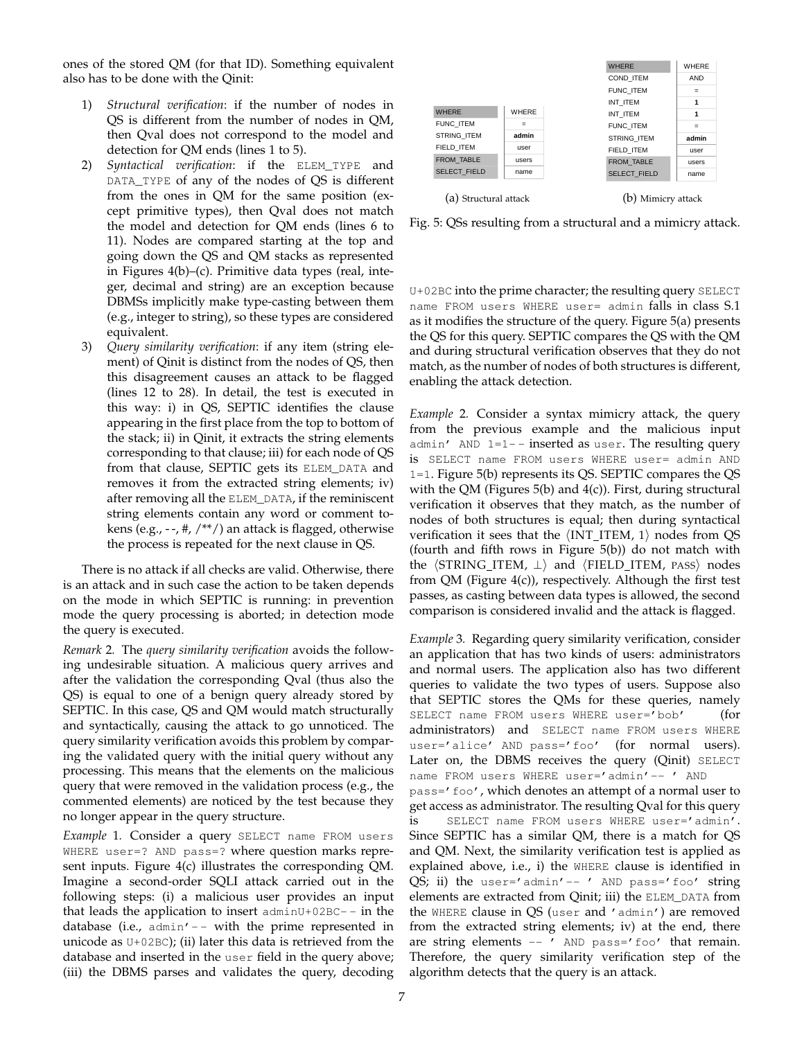ones of the stored QM (for that ID). Something equivalent also has to be done with the Qinit:

- 1) Structural verification: if the number of nodes in QS is different from the number of nodes in QM, then Qval does not correspond to the model and detection for QM ends (lines 1 to 5).  $\sum_{i=1}^{n}$
- 2) *Syntactical verification*: if the ELEM\_TYPE and DATA\_TYPE of any of the nodes of QS is different from the ones in QM for the same position (except primitive types), then Qval does not match the model and detection for QM ends (lines 6 to 11). Nodes are compared starting at the top and going down the QS and QM stacks as represented in Figures 4(b)–(c). Primitive data types (real, integer, decimal and string) are an exception because DBMSs implicitly make type-casting between them (e.g., integer to string), so these types are considered equivalent.  $\mathcal{S}(\mathcal{L}(\mathcal{S}))$  and  $\mathcal{S}(\mathcal{L}(\mathcal{S}))$
- 3) *Query similarity verification*: if any item (string element) of Qinit is distinct from the nodes of QS, then this disagreement causes an attack to be flagged (lines 12 to 28). In detail, the test is executed in this way: i) in QS, SEPTIC identifies the clause appearing in the first place from the top to bottom of the stack; ii) in Qinit, it extracts the string elements corresponding to that clause; iii) for each node of QS from that clause, SEPTIC gets its ELEM\_DATA and removes it from the extracted string elements; iv) after removing all the ELEM\_DATA, if the reminiscent string elements contain any word or comment tokens (e.g.,  $-$ , #,  $/$ \*\*/) an attack is flagged, otherwise the process is repeated for the next clause in QS.

There is no attack if all checks are valid. Otherwise, there is an attack and in such case the action to be taken depends on the mode in which SEPTIC is running: in prevention mode the query processing is aborted; in detection mode the query is executed.

*Remark* 2*.* The *query similarity verification* avoids the following undesirable situation. A malicious query arrives and after the validation the corresponding Qval (thus also the QS) is equal to one of a benign query already stored by SEPTIC. In this case, QS and QM would match structurally and syntactically, causing the attack to go unnoticed. The query similarity verification avoids this problem by comparing the validated query with the initial query without any processing. This means that the elements on the malicious query that were removed in the validation process (e.g., the commented elements) are noticed by the test because they no longer appear in the query structure.

*Example* 1*.* Consider a query SELECT name FROM users WHERE user=? AND pass=? where question marks represent inputs. Figure 4(c) illustrates the corresponding QM. Imagine a second-order SQLI attack carried out in the following steps: (i) a malicious user provides an input that leads the application to insert  $adminU+02BC--$  in the database (i.e.,  $admin' - -$  with the prime represented in unicode as  $U+02BC$ ); (ii) later this data is retrieved from the database and inserted in the user field in the query above; (iii) the DBMS parses and validates the query, decoding



Fig. 5: QSs resulting from a structural and a mimicry attack.

U+02BC into the prime character; the resulting query SELECT name FROM users WHERE user= admin falls in class S.1 as it modifies the structure of the query. Figure 5(a) presents the QS for this query. SEPTIC compares the QS with the QM and during structural verification observes that they do not match, as the number of nodes of both structures is different, enabling the attack detection.

*Example* 2*.* Consider a syntax mimicry attack, the query from the previous example and the malicious input admin' AND  $1=1--$  inserted as user. The resulting query is SELECT name FROM users WHERE user= admin AND 1=1. Figure 5(b) represents its QS. SEPTIC compares the QS with the QM (Figures  $5(b)$  and  $4(c)$ ). First, during structural verification it observes that they match, as the number of nodes of both structures is equal; then during syntactical verification it sees that the  $\langle \text{INT\_ITEM}, 1 \rangle$  nodes from QS (fourth and fifth rows in Figure 5(b)) do not match with the  $\langle \text{STRING\_ITEM}, \perp \rangle$  and  $\langle \text{FIED\_ITEM}, \text{pass} \rangle$  nodes from QM (Figure 4(c)), respectively. Although the first test passes, as casting between data types is allowed, the second comparison is considered invalid and the attack is flagged.

*Example* 3*.* Regarding query similarity verification, consider an application that has two kinds of users: administrators and normal users. The application also has two different queries to validate the two types of users. Suppose also that SEPTIC stores the QMs for these queries, namely SELECT name FROM users WHERE user='bob' (for administrators) and SELECT name FROM users WHERE user='alice' AND pass='foo' (for normal users). Later on, the DBMS receives the query (Qinit) SELECT name FROM users WHERE user='admin' -- ' AND

pass='foo', which denotes an attempt of a normal user to get access as administrator. The resulting Qval for this query is SELECT name FROM users WHERE user='admin'. Since SEPTIC has a similar QM, there is a match for QS and QM. Next, the similarity verification test is applied as explained above, i.e., i) the WHERE clause is identified in QS; ii) the user='admin'-- ' AND pass=' foo' string elements are extracted from Qinit; iii) the ELEM\_DATA from the WHERE clause in QS (user and 'admin') are removed from the extracted string elements; iv) at the end, there are string elements -- ' AND pass=' foo' that remain. Therefore, the query similarity verification step of the algorithm detects that the query is an attack.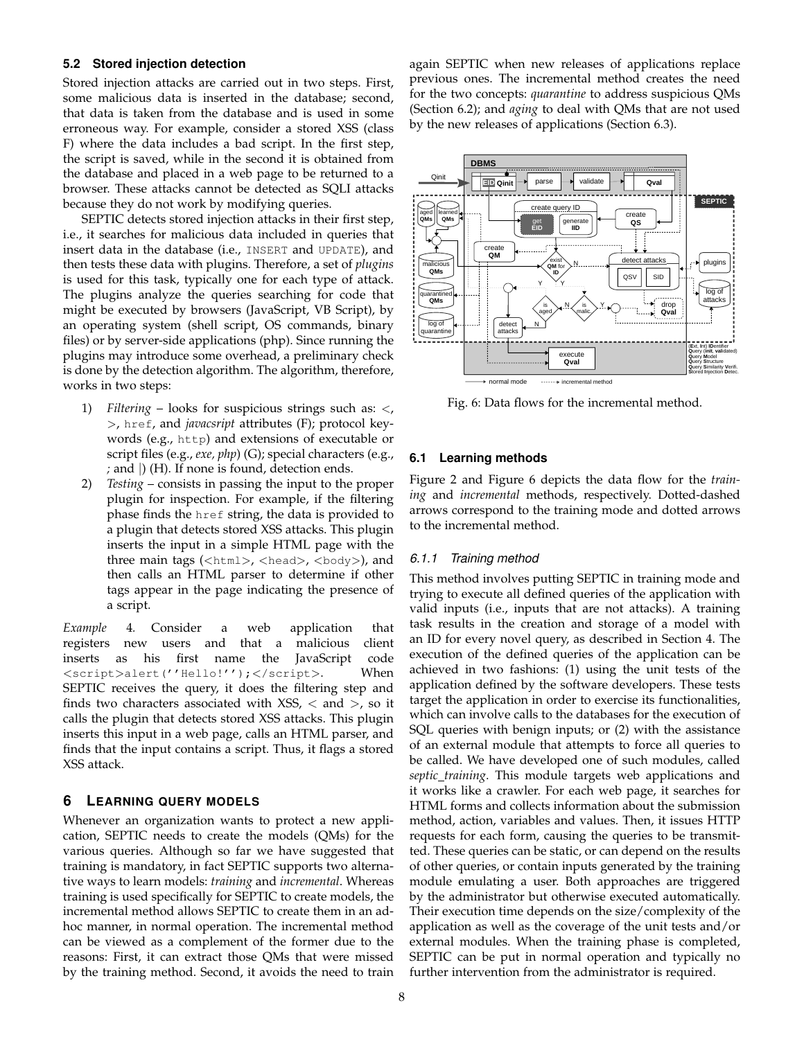## **5.2 Stored injection detection**

Stored injection attacks are carried out in two steps. First, some malicious data is inserted in the database; second, that data is taken from the database and is used in some erroneous way. For example, consider a stored XSS (class F) where the data includes a bad script. In the first step, the script is saved, while in the second it is obtained from the database and placed in a web page to be returned to a browser. These attacks cannot be detected as SQLI attacks because they do not work by modifying queries.

SEPTIC detects stored injection attacks in their first step, i.e., it searches for malicious data included in queries that insert data in the database (i.e., INSERT and UPDATE), and then tests these data with plugins. Therefore, a set of *plugins* is used for this task, typically one for each type of attack. The plugins analyze the queries searching for code that might be executed by browsers (JavaScript, VB Script), by an operating system (shell script, OS commands, binary files) or by server-side applications (php). Since running the plugins may introduce some overhead, a preliminary check is done by the detection algorithm. The algorithm, therefore, works in two steps:

- 1) *Filtering* looks for suspicious strings such as: <, >, href, and *javacsript* attributes (F); protocol keywords (e.g., http) and extensions of executable or script files (e.g., *exe, php*) (G); special characters (e.g., *;* and |) (H). If none is found, detection ends.
- 2) *Testing* consists in passing the input to the proper plugin for inspection. For example, if the filtering phase finds the href string, the data is provided to a plugin that detects stored XSS attacks. This plugin inserts the input in a simple HTML page with the three main tags ( $\langle \text{html} \rangle$ ,  $\langle \text{head} \rangle$ ,  $\langle \text{body} \rangle$ ), and then calls an HTML parser to determine if other tags appear in the page indicating the presence of a script.

*Example* 4*.* Consider a web application that registers new users and that a malicious client inserts as his first name the JavaScript code <script>alert(''Hello!'');</script>. When SEPTIC receives the query, it does the filtering step and finds two characters associated with  $XSS$ ,  $\lt$  and  $\gt$ , so it calls the plugin that detects stored XSS attacks. This plugin inserts this input in a web page, calls an HTML parser, and finds that the input contains a script. Thus, it flags a stored XSS attack.

# **6 LEARNING QUERY MODELS**

Whenever an organization wants to protect a new application, SEPTIC needs to create the models (QMs) for the various queries. Although so far we have suggested that training is mandatory, in fact SEPTIC supports two alternative ways to learn models: *training* and *incremental*. Whereas training is used specifically for SEPTIC to create models, the incremental method allows SEPTIC to create them in an adhoc manner, in normal operation. The incremental method can be viewed as a complement of the former due to the reasons: First, it can extract those QMs that were missed by the training method. Second, it avoids the need to train

again SEPTIC when new releases of applications replace previous ones. The incremental method creates the need for the two concepts: *quarantine* to address suspicious QMs (Section 6.2); and *aging* to deal with QMs that are not used by the new releases of applications (Section 6.3).



Fig. 6: Data flows for the incremental method.

#### **6.1 Learning methods**

Figure 2 and Figure 6 depicts the data flow for the *training* and *incremental* methods, respectively. Dotted-dashed arrows correspond to the training mode and dotted arrows to the incremental method.

#### *6.1.1 Training method*

This method involves putting SEPTIC in training mode and trying to execute all defined queries of the application with valid inputs (i.e., inputs that are not attacks). A training task results in the creation and storage of a model with an ID for every novel query, as described in Section 4. The execution of the defined queries of the application can be achieved in two fashions: (1) using the unit tests of the application defined by the software developers. These tests target the application in order to exercise its functionalities, which can involve calls to the databases for the execution of SQL queries with benign inputs; or (2) with the assistance of an external module that attempts to force all queries to be called. We have developed one of such modules, called *septic training*. This module targets web applications and it works like a crawler. For each web page, it searches for HTML forms and collects information about the submission method, action, variables and values. Then, it issues HTTP requests for each form, causing the queries to be transmitted. These queries can be static, or can depend on the results of other queries, or contain inputs generated by the training module emulating a user. Both approaches are triggered by the administrator but otherwise executed automatically. Their execution time depends on the size/complexity of the application as well as the coverage of the unit tests and/or external modules. When the training phase is completed, SEPTIC can be put in normal operation and typically no further intervention from the administrator is required.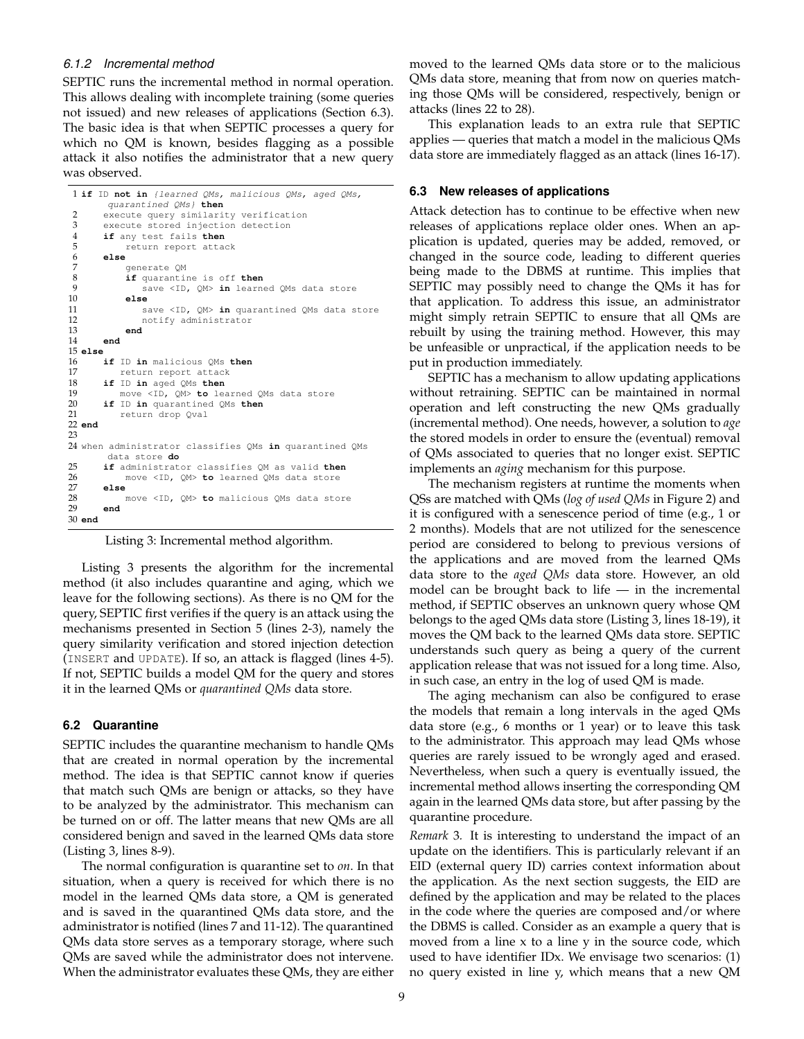## *6.1.2 Incremental method*

SEPTIC runs the incremental method in normal operation. This allows dealing with incomplete training (some queries not issued) and new releases of applications (Section 6.3). The basic idea is that when SEPTIC processes a query for which no QM is known, besides flagging as a possible attack it also notifies the administrator that a new query was observed.

```
1 if ID not in {learned QMs, malicious QMs, aged QMs,
        quarantined QMs} then
 2 execute query similarity verification<br>3 execute stored injection detection
 3 execute stored injection detection<br>4 if any test fails then
       if any test fails then
 5 return report attack<br>6 else
 6 else
 7 generate QM<br>8 if quarantin
 8 if quarantine is off then<br>9 save <ID. OM> in learne
9 save <ID, QM> in learned QMs data store<br>10 else
            10 else
11 save <ID, QM> in quarantined QMs data store
12 notify administrator
13 end
14 end
15 else
16 if ID in malicious QMs then
17 return report attack<br>18 if ID in aged OMs then
       18 if ID in aged QMs then
19 move <ID, QM> to learned QMs data store<br>20 if ID in quarantined QMs then
20 if ID in quarantined QMs then
           return drop Qval
22 end
23
24 when administrator classifies QMs in quarantined QMs
        data store do
25 if administrator classifies QM as valid then
            26 move <ID, QM> to learned QMs data store
27 else
28 move <ID, QM> to malicious QMs data store<br>29 end
       29 end
30 end
```
Listing 3: Incremental method algorithm.

Listing 3 presents the algorithm for the incremental method (it also includes quarantine and aging, which we leave for the following sections). As there is no QM for the query, SEPTIC first verifies if the query is an attack using the mechanisms presented in Section 5 (lines 2-3), namely the query similarity verification and stored injection detection (INSERT and UPDATE). If so, an attack is flagged (lines 4-5). If not, SEPTIC builds a model QM for the query and stores it in the learned QMs or *quarantined QMs* data store.

## **6.2 Quarantine**

SEPTIC includes the quarantine mechanism to handle QMs that are created in normal operation by the incremental method. The idea is that SEPTIC cannot know if queries that match such QMs are benign or attacks, so they have to be analyzed by the administrator. This mechanism can be turned on or off. The latter means that new QMs are all considered benign and saved in the learned QMs data store (Listing 3, lines 8-9).

The normal configuration is quarantine set to *on*. In that situation, when a query is received for which there is no model in the learned QMs data store, a QM is generated and is saved in the quarantined QMs data store, and the administrator is notified (lines 7 and 11-12). The quarantined QMs data store serves as a temporary storage, where such QMs are saved while the administrator does not intervene. When the administrator evaluates these QMs, they are either

moved to the learned QMs data store or to the malicious QMs data store, meaning that from now on queries matching those QMs will be considered, respectively, benign or attacks (lines 22 to 28).

This explanation leads to an extra rule that SEPTIC applies — queries that match a model in the malicious QMs data store are immediately flagged as an attack (lines 16-17).

#### **6.3 New releases of applications**

Attack detection has to continue to be effective when new releases of applications replace older ones. When an application is updated, queries may be added, removed, or changed in the source code, leading to different queries being made to the DBMS at runtime. This implies that SEPTIC may possibly need to change the QMs it has for that application. To address this issue, an administrator might simply retrain SEPTIC to ensure that all QMs are rebuilt by using the training method. However, this may be unfeasible or unpractical, if the application needs to be put in production immediately.

SEPTIC has a mechanism to allow updating applications without retraining. SEPTIC can be maintained in normal operation and left constructing the new QMs gradually (incremental method). One needs, however, a solution to *age* the stored models in order to ensure the (eventual) removal of QMs associated to queries that no longer exist. SEPTIC implements an *aging* mechanism for this purpose.

The mechanism registers at runtime the moments when QSs are matched with QMs (*log of used QMs* in Figure 2) and it is configured with a senescence period of time (e.g., 1 or 2 months). Models that are not utilized for the senescence period are considered to belong to previous versions of the applications and are moved from the learned QMs data store to the *aged QMs* data store. However, an old model can be brought back to life  $-$  in the incremental method, if SEPTIC observes an unknown query whose QM belongs to the aged QMs data store (Listing 3, lines 18-19), it moves the QM back to the learned QMs data store. SEPTIC understands such query as being a query of the current application release that was not issued for a long time. Also, in such case, an entry in the log of used QM is made.

The aging mechanism can also be configured to erase the models that remain a long intervals in the aged QMs data store (e.g., 6 months or 1 year) or to leave this task to the administrator. This approach may lead QMs whose queries are rarely issued to be wrongly aged and erased. Nevertheless, when such a query is eventually issued, the incremental method allows inserting the corresponding QM again in the learned QMs data store, but after passing by the quarantine procedure.

*Remark* 3*.* It is interesting to understand the impact of an update on the identifiers. This is particularly relevant if an EID (external query ID) carries context information about the application. As the next section suggests, the EID are defined by the application and may be related to the places in the code where the queries are composed and/or where the DBMS is called. Consider as an example a query that is moved from a line x to a line y in the source code, which used to have identifier IDx. We envisage two scenarios: (1) no query existed in line y, which means that a new QM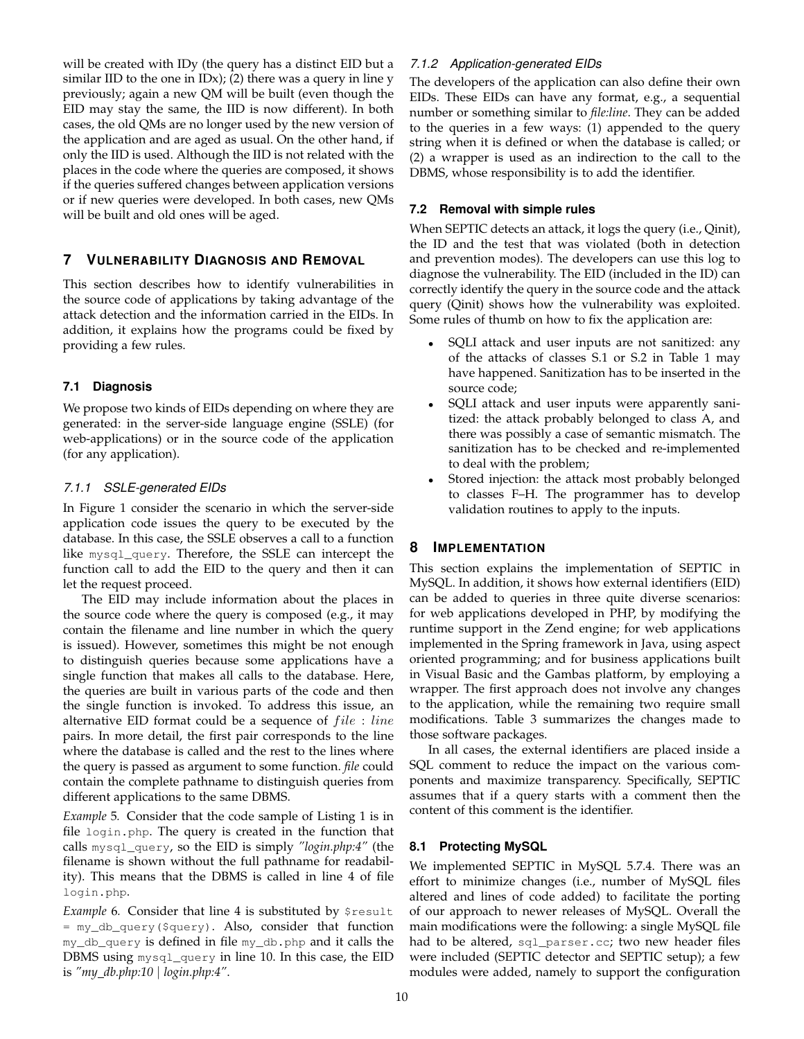will be created with IDy (the query has a distinct EID but a similar IID to the one in IDx); (2) there was a query in line y previously; again a new QM will be built (even though the EID may stay the same, the IID is now different). In both cases, the old QMs are no longer used by the new version of the application and are aged as usual. On the other hand, if only the IID is used. Although the IID is not related with the places in the code where the queries are composed, it shows if the queries suffered changes between application versions or if new queries were developed. In both cases, new QMs will be built and old ones will be aged.

# **7 VULNERABILITY DIAGNOSIS AND REMOVAL**

This section describes how to identify vulnerabilities in the source code of applications by taking advantage of the attack detection and the information carried in the EIDs. In addition, it explains how the programs could be fixed by providing a few rules.

# **7.1 Diagnosis**

We propose two kinds of EIDs depending on where they are generated: in the server-side language engine (SSLE) (for web-applications) or in the source code of the application (for any application).

# *7.1.1 SSLE-generated EIDs*

In Figure 1 consider the scenario in which the server-side application code issues the query to be executed by the database. In this case, the SSLE observes a call to a function like mysql\_query. Therefore, the SSLE can intercept the function call to add the EID to the query and then it can let the request proceed.

The EID may include information about the places in the source code where the query is composed (e.g., it may contain the filename and line number in which the query is issued). However, sometimes this might be not enough to distinguish queries because some applications have a single function that makes all calls to the database. Here, the queries are built in various parts of the code and then the single function is invoked. To address this issue, an alternative EID format could be a sequence of  $file$  : line pairs. In more detail, the first pair corresponds to the line where the database is called and the rest to the lines where the query is passed as argument to some function. *file* could contain the complete pathname to distinguish queries from different applications to the same DBMS.

*Example* 5*.* Consider that the code sample of Listing 1 is in file login.php. The query is created in the function that calls mysql\_query, so the EID is simply *"login.php:4"* (the filename is shown without the full pathname for readability). This means that the DBMS is called in line 4 of file login.php.

*Example* 6. Consider that line 4 is substituted by \$result = my\_db\_query(\$query). Also, consider that function my\_db\_query is defined in file my\_db.php and it calls the DBMS using mysql\_query in line 10. In this case, the EID is *"my db.php:10* | *login.php:4"*.

# *7.1.2 Application-generated EIDs*

The developers of the application can also define their own EIDs. These EIDs can have any format, e.g., a sequential number or something similar to *file:line*. They can be added to the queries in a few ways: (1) appended to the query string when it is defined or when the database is called; or (2) a wrapper is used as an indirection to the call to the DBMS, whose responsibility is to add the identifier.

# **7.2 Removal with simple rules**

When SEPTIC detects an attack, it logs the query (i.e., Qinit), the ID and the test that was violated (both in detection and prevention modes). The developers can use this log to diagnose the vulnerability. The EID (included in the ID) can correctly identify the query in the source code and the attack query (Qinit) shows how the vulnerability was exploited. Some rules of thumb on how to fix the application are:

- SQLI attack and user inputs are not sanitized: any of the attacks of classes S.1 or S.2 in Table 1 may have happened. Sanitization has to be inserted in the source code;
- SQLI attack and user inputs were apparently sanitized: the attack probably belonged to class A, and there was possibly a case of semantic mismatch. The sanitization has to be checked and re-implemented to deal with the problem;
- Stored injection: the attack most probably belonged to classes F–H. The programmer has to develop validation routines to apply to the inputs.

# **8 IMPLEMENTATION**

This section explains the implementation of SEPTIC in MySQL. In addition, it shows how external identifiers (EID) can be added to queries in three quite diverse scenarios: for web applications developed in PHP, by modifying the runtime support in the Zend engine; for web applications implemented in the Spring framework in Java, using aspect oriented programming; and for business applications built in Visual Basic and the Gambas platform, by employing a wrapper. The first approach does not involve any changes to the application, while the remaining two require small modifications. Table 3 summarizes the changes made to those software packages.

In all cases, the external identifiers are placed inside a SQL comment to reduce the impact on the various components and maximize transparency. Specifically, SEPTIC assumes that if a query starts with a comment then the content of this comment is the identifier.

# **8.1 Protecting MySQL**

We implemented SEPTIC in MySQL 5.7.4. There was an effort to minimize changes (i.e., number of MySQL files altered and lines of code added) to facilitate the porting of our approach to newer releases of MySQL. Overall the main modifications were the following: a single MySQL file had to be altered, sql\_parser.cc; two new header files were included (SEPTIC detector and SEPTIC setup); a few modules were added, namely to support the configuration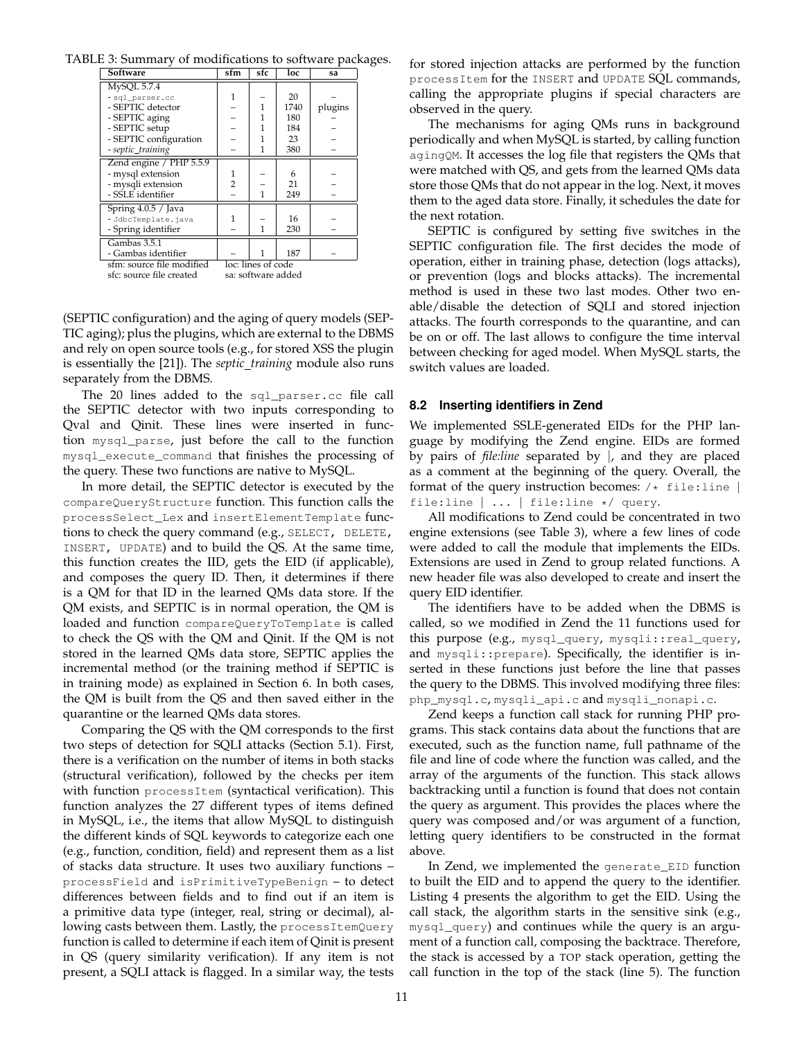TABLE 3: Summary of modifications to software packages.

| <b>Software</b>           | sfm                | sfc                | loc  | sa      |  |
|---------------------------|--------------------|--------------------|------|---------|--|
| MySQL 5.7.4               |                    |                    |      |         |  |
| - sql_parser.cc           | 1                  |                    | 20   |         |  |
| - SEPTIC detector         |                    | 1                  | 1740 | plugins |  |
| - SEPTIC aging            |                    | 1                  | 180  |         |  |
| - SEPTIC setup            |                    |                    | 184  |         |  |
| - SEPTIC configuration    |                    |                    | 23   |         |  |
| - septic_training         |                    | $\mathbf{1}$       | 380  |         |  |
| Zend engine / PHP 5.5.9   |                    |                    |      |         |  |
| - mysql extension         |                    |                    | 6    |         |  |
| - mysqli extension        | $\overline{2}$     |                    | 21   |         |  |
| - SSLE identifier         |                    | 1                  | 249  |         |  |
| Spring $4.0.5 /$ Java     |                    |                    |      |         |  |
| - JdbcTemplate.java       |                    |                    | 16   |         |  |
| - Spring identifier       |                    | 1                  | 230  |         |  |
| Gambas 3.5.1              |                    |                    |      |         |  |
| - Gambas identifier       |                    |                    | 187  |         |  |
| sfm: source file modified |                    | loc: lines of code |      |         |  |
| sfc: source file created  | sa: software added |                    |      |         |  |

(SEPTIC configuration) and the aging of query models (SEP-TIC aging); plus the plugins, which are external to the DBMS and rely on open source tools (e.g., for stored XSS the plugin is essentially the [21]). The *septic\_training* module also runs separately from the DBMS.

The 20 lines added to the sql\_parser.cc file call the SEPTIC detector with two inputs corresponding to Qval and Qinit. These lines were inserted in function mysql\_parse, just before the call to the function mysql\_execute\_command that finishes the processing of the query. These two functions are native to MySQL.

In more detail, the SEPTIC detector is executed by the compareQueryStructure function. This function calls the processSelect\_Lex and insertElementTemplate functions to check the query command (e.g., SELECT, DELETE, INSERT, UPDATE) and to build the QS. At the same time, this function creates the IID, gets the EID (if applicable), and composes the query ID. Then, it determines if there is a QM for that ID in the learned QMs data store. If the QM exists, and SEPTIC is in normal operation, the QM is loaded and function compareQueryToTemplate is called to check the QS with the QM and Qinit. If the QM is not stored in the learned QMs data store, SEPTIC applies the incremental method (or the training method if SEPTIC is in training mode) as explained in Section 6. In both cases, the QM is built from the QS and then saved either in the quarantine or the learned QMs data stores.

Comparing the QS with the QM corresponds to the first two steps of detection for SQLI attacks (Section 5.1). First, there is a verification on the number of items in both stacks (structural verification), followed by the checks per item with function processItem (syntactical verification). This function analyzes the 27 different types of items defined in MySQL, i.e., the items that allow MySQL to distinguish the different kinds of SQL keywords to categorize each one (e.g., function, condition, field) and represent them as a list of stacks data structure. It uses two auxiliary functions – processField and isPrimitiveTypeBenign – to detect differences between fields and to find out if an item is a primitive data type (integer, real, string or decimal), allowing casts between them. Lastly, the processItemQuery function is called to determine if each item of Qinit is present in QS (query similarity verification). If any item is not present, a SQLI attack is flagged. In a similar way, the tests

for stored injection attacks are performed by the function processItem for the INSERT and UPDATE SQL commands, calling the appropriate plugins if special characters are observed in the query.

The mechanisms for aging QMs runs in background periodically and when MySQL is started, by calling function agingQM. It accesses the log file that registers the QMs that were matched with QS, and gets from the learned QMs data store those QMs that do not appear in the log. Next, it moves them to the aged data store. Finally, it schedules the date for the next rotation.

SEPTIC is configured by setting five switches in the SEPTIC configuration file. The first decides the mode of operation, either in training phase, detection (logs attacks), or prevention (logs and blocks attacks). The incremental method is used in these two last modes. Other two enable/disable the detection of SQLI and stored injection attacks. The fourth corresponds to the quarantine, and can be on or off. The last allows to configure the time interval between checking for aged model. When MySQL starts, the switch values are loaded.

# **8.2 Inserting identifiers in Zend**

We implemented SSLE-generated EIDs for the PHP language by modifying the Zend engine. EIDs are formed by pairs of *file:line* separated by |, and they are placed as a comment at the beginning of the query. Overall, the format of the query instruction becomes:  $/*$  file:line  $|$ file:line | ... | file:line \*/ query.

All modifications to Zend could be concentrated in two engine extensions (see Table 3), where a few lines of code were added to call the module that implements the EIDs. Extensions are used in Zend to group related functions. A new header file was also developed to create and insert the query EID identifier.

The identifiers have to be added when the DBMS is called, so we modified in Zend the 11 functions used for this purpose (e.g., mysql\_query, mysqli::real\_query, and mysqli::prepare). Specifically, the identifier is inserted in these functions just before the line that passes the query to the DBMS. This involved modifying three files: php\_mysql.c, mysqli\_api.c and mysqli\_nonapi.c.

Zend keeps a function call stack for running PHP programs. This stack contains data about the functions that are executed, such as the function name, full pathname of the file and line of code where the function was called, and the array of the arguments of the function. This stack allows backtracking until a function is found that does not contain the query as argument. This provides the places where the query was composed and/or was argument of a function, letting query identifiers to be constructed in the format above.

In Zend, we implemented the generate\_EID function to built the EID and to append the query to the identifier. Listing 4 presents the algorithm to get the EID. Using the call stack, the algorithm starts in the sensitive sink (e.g., mysql\_query) and continues while the query is an argument of a function call, composing the backtrace. Therefore, the stack is accessed by a TOP stack operation, getting the call function in the top of the stack (line 5). The function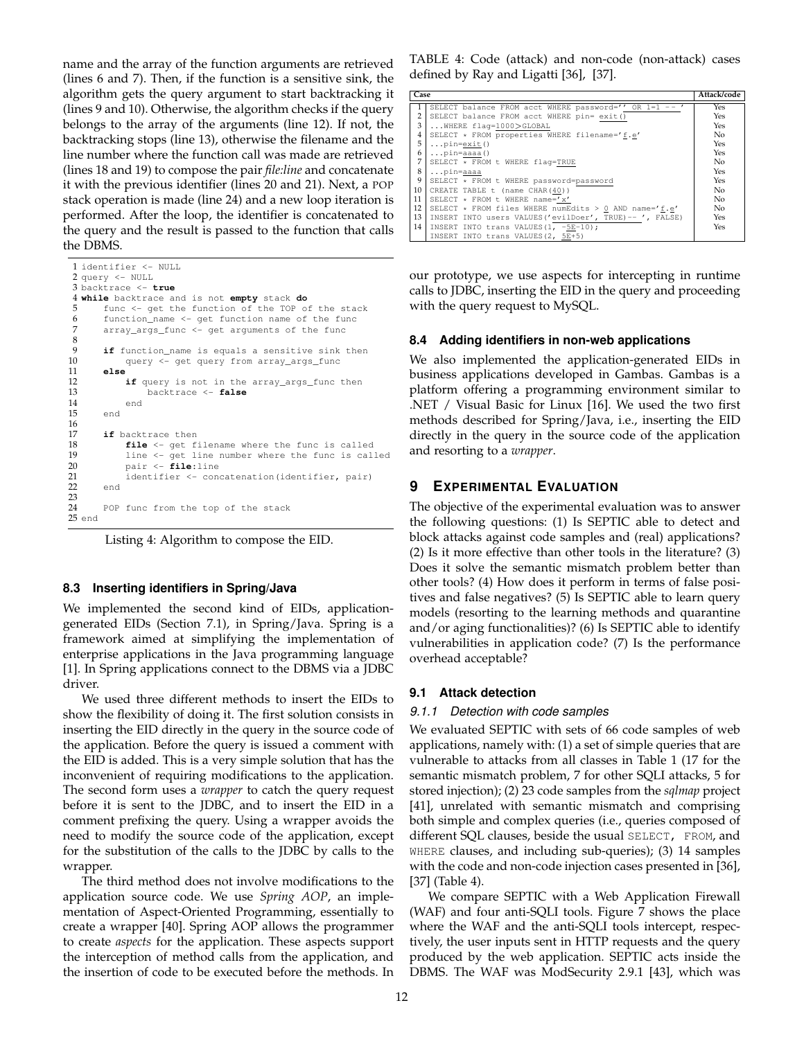name and the array of the function arguments are retrieved (lines 6 and 7). Then, if the function is a sensitive sink, the algorithm gets the query argument to start backtracking it (lines 9 and 10). Otherwise, the algorithm checks if the query belongs to the array of the arguments (line 12). If not, the backtracking stops (line 13), otherwise the filename and the line number where the function call was made are retrieved (lines 18 and 19) to compose the pair *file:line* and concatenate it with the previous identifier (lines 20 and 21). Next, a POP stack operation is made (line 24) and a new loop iteration is performed. After the loop, the identifier is concatenated to the query and the result is passed to the function that calls the DBMS.

```
1 identifier <- NULL
 2 query <- NULL
 3 backtrace <- true
 4 while backtrace and is not empty stack do
 5 func \leq get the function of the TOP of the stack<br>6 function name \leq get function name of the func
 6 function_name <- get function name of the func<br>
7 array args func <- get arguments of the func
        array_args_func <- get arguments of the func
 8
9 if function_name is equals a sensitive sink then<br>10 	 query <- get query from array_args_func
             query <- get query from array_args_func
11 else
              if query is not in the array_args_func then
13 backtrace <- false
14 end<br>15 end
        end
16
17 if backtrace then<br>18 file \leq get f
              file <- get filename where the func is called
19 line <- get line number where the func is called<br>
20 pair <- file:line<br>
21 identifier <- concatenation(identifier, pair)
              20 pair <- file:line
21 identifier <- concatenation(identifier, pair)<br>22 end
        end
\frac{23}{24}POP func from the top of the stack
25 end
```
Listing 4: Algorithm to compose the EID.

## **8.3 Inserting identifiers in Spring/Java**

We implemented the second kind of EIDs, applicationgenerated EIDs (Section 7.1), in Spring/Java. Spring is a framework aimed at simplifying the implementation of enterprise applications in the Java programming language [1]. In Spring applications connect to the DBMS via a JDBC driver.

We used three different methods to insert the EIDs to show the flexibility of doing it. The first solution consists in inserting the EID directly in the query in the source code of the application. Before the query is issued a comment with the EID is added. This is a very simple solution that has the inconvenient of requiring modifications to the application. The second form uses a *wrapper* to catch the query request before it is sent to the JDBC, and to insert the EID in a comment prefixing the query. Using a wrapper avoids the need to modify the source code of the application, except for the substitution of the calls to the JDBC by calls to the wrapper.

The third method does not involve modifications to the application source code. We use *Spring AOP*, an implementation of Aspect-Oriented Programming, essentially to create a wrapper [40]. Spring AOP allows the programmer to create *aspects* for the application. These aspects support the interception of method calls from the application, and the insertion of code to be executed before the methods. In TABLE 4: Code (attack) and non-code (non-attack) cases defined by Ray and Ligatti [36], [37].

| Case           |                                                          | Attack/code |
|----------------|----------------------------------------------------------|-------------|
|                | SELECT balance FROM acct WHERE password='' OR 1=1 --     | Yes         |
| 2              | SELECT balance FROM acct WHERE pin= exit()               | Yes         |
| 3              | WHERE flag=1000>GLOBAL                                   | Yes         |
| $\overline{4}$ | SELECT * FROM properties WHERE filename='f.e'            | No          |
| 5              | $\ldots$ pin=exit()                                      | Yes         |
| 6              | $\ldots$ pin=aaaa $()$                                   | Yes         |
| 7              | SELECT * FROM t WHERE flag=TRUE                          | No          |
| 8              | pin=aaaa                                                 | Yes         |
| 9              | SELECT * FROM t WHERE password=password                  | Yes         |
| 10             | CREATE TABLE t (name CHAR(40))                           | No          |
| 11             | SELECT * FROM t WHERE name='x'                           | No          |
| 12             | SELECT * FROM files WHERE numEdits > 0 AND name='f.e'    | No          |
| 13             | INSERT INTO users VALUES ('evilDoer', TRUE) -- ', FALSE) | Yes         |
| 14             | INSERT INTO trans VALUES (1, -5E-10);                    | Yes         |
|                | INSERT INTO trans VALUES (2, 5E+5)                       |             |

our prototype, we use aspects for intercepting in runtime calls to JDBC, inserting the EID in the query and proceeding with the query request to MySQL.

## **8.4 Adding identifiers in non-web applications**

We also implemented the application-generated EIDs in business applications developed in Gambas. Gambas is a platform offering a programming environment similar to .NET / Visual Basic for Linux [16]. We used the two first methods described for Spring/Java, i.e., inserting the EID directly in the query in the source code of the application and resorting to a *wrapper*.

# **9 EXPERIMENTAL EVALUATION**

The objective of the experimental evaluation was to answer the following questions: (1) Is SEPTIC able to detect and block attacks against code samples and (real) applications? (2) Is it more effective than other tools in the literature? (3) Does it solve the semantic mismatch problem better than other tools? (4) How does it perform in terms of false positives and false negatives? (5) Is SEPTIC able to learn query models (resorting to the learning methods and quarantine and/or aging functionalities)? (6) Is SEPTIC able to identify vulnerabilities in application code? (7) Is the performance overhead acceptable?

## **9.1 Attack detection**

## *9.1.1 Detection with code samples*

We evaluated SEPTIC with sets of 66 code samples of web applications, namely with: (1) a set of simple queries that are vulnerable to attacks from all classes in Table 1 (17 for the semantic mismatch problem, 7 for other SQLI attacks, 5 for stored injection); (2) 23 code samples from the *sqlmap* project [41], unrelated with semantic mismatch and comprising both simple and complex queries (i.e., queries composed of different SQL clauses, beside the usual SELECT, FROM, and WHERE clauses, and including sub-queries); (3) 14 samples with the code and non-code injection cases presented in [36], [37] (Table 4).

We compare SEPTIC with a Web Application Firewall (WAF) and four anti-SQLI tools. Figure 7 shows the place where the WAF and the anti-SQLI tools intercept, respectively, the user inputs sent in HTTP requests and the query produced by the web application. SEPTIC acts inside the DBMS. The WAF was ModSecurity 2.9.1 [43], which was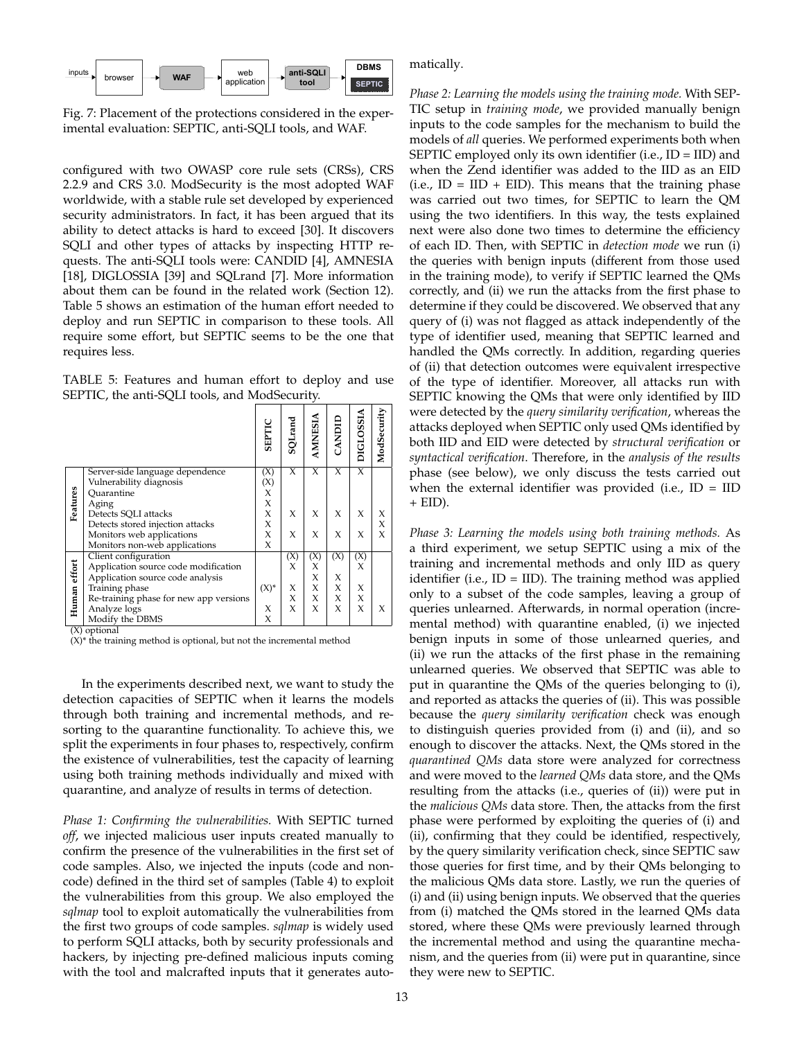

Fig. 7: Placement of the protections considered in the experimental evaluation: SEPTIC, anti-SQLI tools, and WAF.

configured with two OWASP core rule sets (CRSs), CRS 2.2.9 and CRS 3.0. ModSecurity is the most adopted WAF worldwide, with a stable rule set developed by experienced security administrators. In fact, it has been argued that its ability to detect attacks is hard to exceed [30]. It discovers SQLI and other types of attacks by inspecting HTTP requests. The anti-SQLI tools were: CANDID [4], AMNESIA [18], DIGLOSSIA [39] and SQLrand [7]. More information about them can be found in the related work (Section 12). Table 5 shows an estimation of the human effort needed to deploy and run SEPTIC in comparison to these tools. All require some effort, but SEPTIC seems to be the one that requires less.

TABLE 5: Features and human effort to deploy and use SEPTIC, the anti-SQLI tools, and ModSecurity.

|                          |                                                            | SEPTIC   | SQLrand | AMNESIA | CANDID                    | <b>DIGLOSSIA</b> | ModSecurity |
|--------------------------|------------------------------------------------------------|----------|---------|---------|---------------------------|------------------|-------------|
|                          | Server-side language dependence<br>Vulnerability diagnosis | (X)      | X       | X       | X                         | X                |             |
|                          | Ouarantine                                                 | (X)<br>X |         |         |                           |                  |             |
| Features                 | Aging                                                      | X        |         |         |                           |                  |             |
|                          | Detects SQLI attacks                                       | X        | X       | X       | X                         | X                | X           |
|                          | Detects stored injection attacks                           | X        |         |         |                           |                  | Χ           |
|                          | Monitors web applications                                  | X        | X       | X       | X                         | X                | $\chi$      |
|                          | Monitors non-web applications                              | X        |         |         |                           |                  |             |
|                          | Client configuration                                       |          | (X)     | (X)     | $\overline{(\mathsf{X})}$ | (X)              |             |
|                          | Application source code modification                       |          | X       | X       |                           | X                |             |
|                          | Application source code analysis                           |          |         | X       | X                         |                  |             |
|                          | Training phase                                             | $(X)^*$  | X       | X       | X                         | X                |             |
|                          | Re-training phase for new app versions                     |          | X       | X.      | X                         | X                |             |
| Human effort             | Analyze logs                                               | X        | $\chi$  | X       | X                         | X                | X           |
| $\overline{\mathcal{L}}$ | Modify the DBMS<br>$\cdot$ .                               | X        |         |         |                           |                  |             |

(X) optional

 $(X)^*$  the training method is optional, but not the incremental method

In the experiments described next, we want to study the detection capacities of SEPTIC when it learns the models through both training and incremental methods, and resorting to the quarantine functionality. To achieve this, we split the experiments in four phases to, respectively, confirm the existence of vulnerabilities, test the capacity of learning using both training methods individually and mixed with quarantine, and analyze of results in terms of detection.

*Phase 1: Confirming the vulnerabilities.* With SEPTIC turned *off*, we injected malicious user inputs created manually to confirm the presence of the vulnerabilities in the first set of code samples. Also, we injected the inputs (code and noncode) defined in the third set of samples (Table 4) to exploit the vulnerabilities from this group. We also employed the *sqlmap* tool to exploit automatically the vulnerabilities from the first two groups of code samples. *sqlmap* is widely used to perform SQLI attacks, both by security professionals and hackers, by injecting pre-defined malicious inputs coming with the tool and malcrafted inputs that it generates automatically.

*Phase 2: Learning the models using the training mode.* With SEP-TIC setup in *training mode*, we provided manually benign inputs to the code samples for the mechanism to build the models of *all* queries. We performed experiments both when SEPTIC employed only its own identifier (i.e., ID = IID) and when the Zend identifier was added to the IID as an EID  $(i.e., ID = IID + EID)$ . This means that the training phase was carried out two times, for SEPTIC to learn the QM using the two identifiers. In this way, the tests explained next were also done two times to determine the efficiency of each ID. Then, with SEPTIC in *detection mode* we run (i) the queries with benign inputs (different from those used in the training mode), to verify if SEPTIC learned the QMs correctly, and (ii) we run the attacks from the first phase to determine if they could be discovered. We observed that any query of (i) was not flagged as attack independently of the type of identifier used, meaning that SEPTIC learned and handled the QMs correctly. In addition, regarding queries of (ii) that detection outcomes were equivalent irrespective of the type of identifier. Moreover, all attacks run with SEPTIC knowing the QMs that were only identified by IID were detected by the *query similarity verification*, whereas the attacks deployed when SEPTIC only used QMs identified by both IID and EID were detected by *structural verification* or *syntactical verification*. Therefore, in the *analysis of the results* phase (see below), we only discuss the tests carried out when the external identifier was provided (i.e.,  $ID = IID$  $+$  EID).

*Phase 3: Learning the models using both training methods.* As a third experiment, we setup SEPTIC using a mix of the training and incremental methods and only IID as query identifier (i.e.,  $ID = IID$ ). The training method was applied only to a subset of the code samples, leaving a group of queries unlearned. Afterwards, in normal operation (incremental method) with quarantine enabled, (i) we injected benign inputs in some of those unlearned queries, and (ii) we run the attacks of the first phase in the remaining unlearned queries. We observed that SEPTIC was able to put in quarantine the QMs of the queries belonging to (i), and reported as attacks the queries of (ii). This was possible because the *query similarity verification* check was enough to distinguish queries provided from (i) and (ii), and so enough to discover the attacks. Next, the QMs stored in the *quarantined QMs* data store were analyzed for correctness and were moved to the *learned QMs* data store, and the QMs resulting from the attacks (i.e., queries of (ii)) were put in the *malicious QMs* data store. Then, the attacks from the first phase were performed by exploiting the queries of (i) and (ii), confirming that they could be identified, respectively, by the query similarity verification check, since SEPTIC saw those queries for first time, and by their QMs belonging to the malicious QMs data store. Lastly, we run the queries of (i) and (ii) using benign inputs. We observed that the queries from (i) matched the QMs stored in the learned QMs data stored, where these QMs were previously learned through the incremental method and using the quarantine mechanism, and the queries from (ii) were put in quarantine, since they were new to SEPTIC.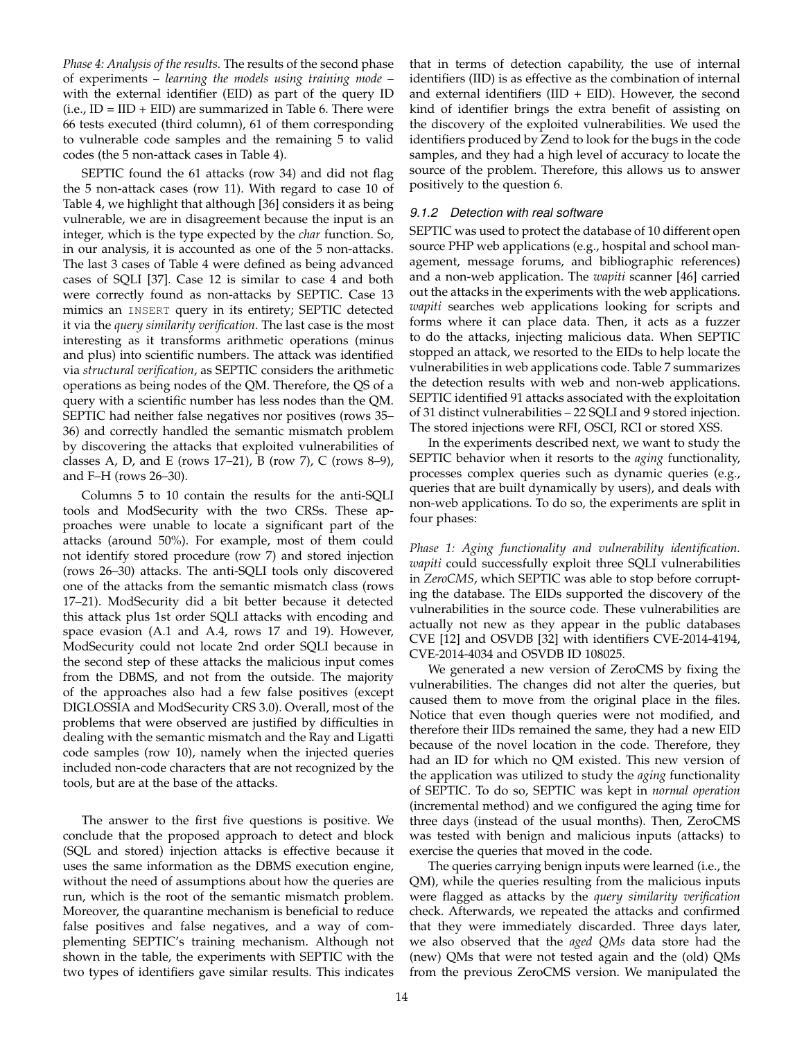*Phase 4: Analysis of the results.* The results of the second phase of experiments – *learning the models using training mode* – with the external identifier (EID) as part of the query ID  $(i.e., ID = IID + EID)$  are summarized in Table 6. There were 66 tests executed (third column), 61 of them corresponding to vulnerable code samples and the remaining 5 to valid codes (the 5 non-attack cases in Table 4).

SEPTIC found the 61 attacks (row 34) and did not flag the 5 non-attack cases (row 11). With regard to case 10 of Table 4, we highlight that although [36] considers it as being vulnerable, we are in disagreement because the input is an integer, which is the type expected by the *char* function. So, in our analysis, it is accounted as one of the 5 non-attacks. The last 3 cases of Table 4 were defined as being advanced cases of SQLI [37]. Case 12 is similar to case 4 and both were correctly found as non-attacks by SEPTIC. Case 13 mimics an INSERT query in its entirety; SEPTIC detected it via the *query similarity verification*. The last case is the most interesting as it transforms arithmetic operations (minus and plus) into scientific numbers. The attack was identified via *structural verification*, as SEPTIC considers the arithmetic operations as being nodes of the QM. Therefore, the QS of a query with a scientific number has less nodes than the QM. SEPTIC had neither false negatives nor positives (rows 35– 36) and correctly handled the semantic mismatch problem by discovering the attacks that exploited vulnerabilities of classes A, D, and E (rows 17–21), B (row 7), C (rows 8–9), and F–H (rows 26–30).

Columns 5 to 10 contain the results for the anti-SQLI tools and ModSecurity with the two CRSs. These approaches were unable to locate a significant part of the attacks (around 50%). For example, most of them could not identify stored procedure (row 7) and stored injection (rows 26–30) attacks. The anti-SQLI tools only discovered one of the attacks from the semantic mismatch class (rows 17–21). ModSecurity did a bit better because it detected this attack plus 1st order SQLI attacks with encoding and space evasion (A.1 and A.4, rows 17 and 19). However, ModSecurity could not locate 2nd order SQLI because in the second step of these attacks the malicious input comes from the DBMS, and not from the outside. The majority of the approaches also had a few false positives (except DIGLOSSIA and ModSecurity CRS 3.0). Overall, most of the problems that were observed are justified by difficulties in dealing with the semantic mismatch and the Ray and Ligatti code samples (row 10), namely when the injected queries included non-code characters that are not recognized by the tools, but are at the base of the attacks.

The answer to the first five questions is positive. We conclude that the proposed approach to detect and block (SQL and stored) injection attacks is effective because it uses the same information as the DBMS execution engine, without the need of assumptions about how the queries are run, which is the root of the semantic mismatch problem. Moreover, the quarantine mechanism is beneficial to reduce false positives and false negatives, and a way of complementing SEPTIC's training mechanism. Although not shown in the table, the experiments with SEPTIC with the two types of identifiers gave similar results. This indicates

that in terms of detection capability, the use of internal identifiers (IID) is as effective as the combination of internal and external identifiers  $(III + EID)$ . However, the second kind of identifier brings the extra benefit of assisting on the discovery of the exploited vulnerabilities. We used the identifiers produced by Zend to look for the bugs in the code samples, and they had a high level of accuracy to locate the source of the problem. Therefore, this allows us to answer positively to the question 6.

## *9.1.2 Detection with real software*

SEPTIC was used to protect the database of 10 different open source PHP web applications (e.g., hospital and school management, message forums, and bibliographic references) and a non-web application. The *wapiti* scanner [46] carried out the attacks in the experiments with the web applications. *wapiti* searches web applications looking for scripts and forms where it can place data. Then, it acts as a fuzzer to do the attacks, injecting malicious data. When SEPTIC stopped an attack, we resorted to the EIDs to help locate the vulnerabilities in web applications code. Table 7 summarizes the detection results with web and non-web applications. SEPTIC identified 91 attacks associated with the exploitation of 31 distinct vulnerabilities – 22 SQLI and 9 stored injection. The stored injections were RFI, OSCI, RCI or stored XSS.

In the experiments described next, we want to study the SEPTIC behavior when it resorts to the *aging* functionality, processes complex queries such as dynamic queries (e.g., queries that are built dynamically by users), and deals with non-web applications. To do so, the experiments are split in four phases:

*Phase 1: Aging functionality and vulnerability identification. wapiti* could successfully exploit three SQLI vulnerabilities in *ZeroCMS*, which SEPTIC was able to stop before corrupting the database. The EIDs supported the discovery of the vulnerabilities in the source code. These vulnerabilities are actually not new as they appear in the public databases CVE [12] and OSVDB [32] with identifiers CVE-2014-4194, CVE-2014-4034 and OSVDB ID 108025.

We generated a new version of ZeroCMS by fixing the vulnerabilities. The changes did not alter the queries, but caused them to move from the original place in the files. Notice that even though queries were not modified, and therefore their IIDs remained the same, they had a new EID because of the novel location in the code. Therefore, they had an ID for which no QM existed. This new version of the application was utilized to study the *aging* functionality of SEPTIC. To do so, SEPTIC was kept in *normal operation* (incremental method) and we configured the aging time for three days (instead of the usual months). Then, ZeroCMS was tested with benign and malicious inputs (attacks) to exercise the queries that moved in the code.

The queries carrying benign inputs were learned (i.e., the QM), while the queries resulting from the malicious inputs were flagged as attacks by the *query similarity verification* check. Afterwards, we repeated the attacks and confirmed that they were immediately discarded. Three days later, we also observed that the *aged QMs* data store had the (new) QMs that were not tested again and the (old) QMs from the previous ZeroCMS version. We manipulated the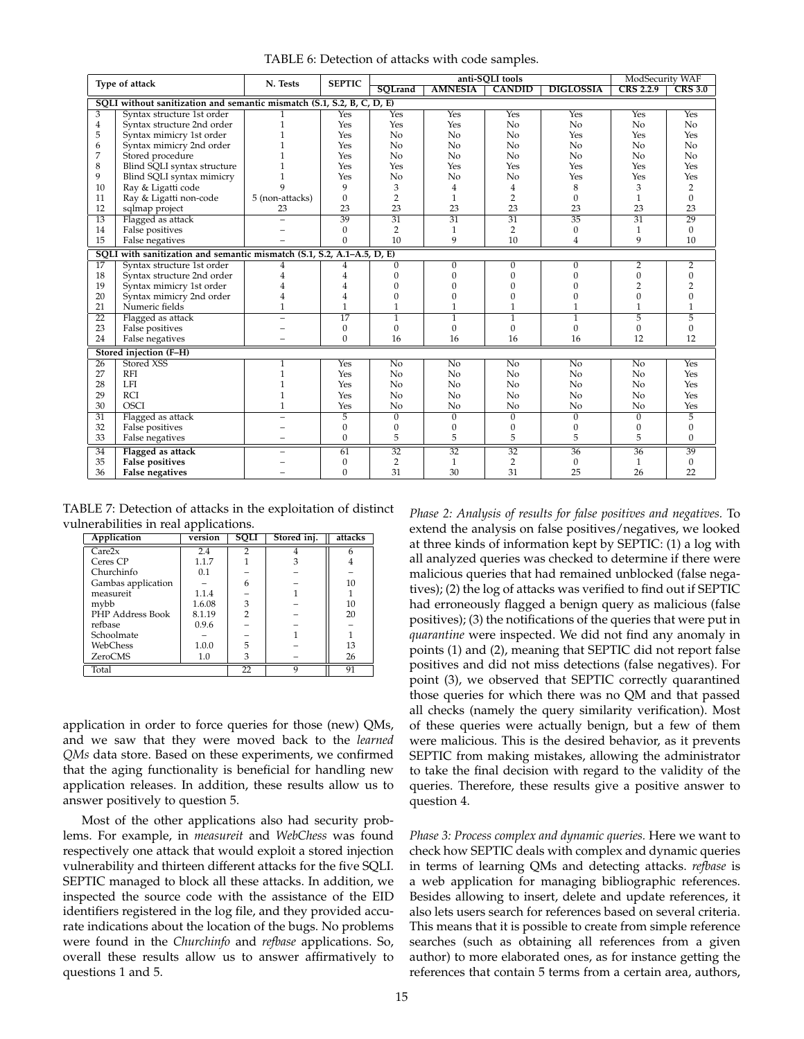TABLE 6: Detection of attacks with code samples.

| Type of attack  |                                                                        | N. Tests        | <b>SEPTIC</b>   | anti-SOLI tools |                 |                    |                  | ModSecurity WAF  |                 |
|-----------------|------------------------------------------------------------------------|-----------------|-----------------|-----------------|-----------------|--------------------|------------------|------------------|-----------------|
|                 |                                                                        |                 |                 | SOLrand         | <b>AMNESIA</b>  | <b>CANDID</b>      | <b>DIGLOSSIA</b> | <b>CRS 2.2.9</b> | <b>CRS 3.0</b>  |
|                 | SQLI without sanitization and semantic mismatch (S.1, S.2, B, C, D, E) |                 |                 |                 |                 |                    |                  |                  |                 |
| 3               | Syntax structure 1st order                                             |                 | Yes             | Yes             | Yes             | Yes                | Yes              | <b>Yes</b>       | Yes             |
| 4               | Syntax structure 2nd order                                             |                 | Yes             | Yes             | Yes             | No                 | N <sub>o</sub>   | N <sub>o</sub>   | N <sub>o</sub>  |
| 5               | Syntax mimicry 1st order                                               |                 | Yes             | N <sub>o</sub>  | No              | N <sub>o</sub>     | Yes              | Yes              | Yes             |
| 6               | Syntax mimicry 2nd order                                               |                 | Yes             | N <sub>o</sub>  | No              | No                 | N <sub>o</sub>   | N <sub>o</sub>   | N <sub>o</sub>  |
| 7               | Stored procedure                                                       |                 | Yes             | N <sub>o</sub>  | No              | No                 | N <sub>o</sub>   | N <sub>o</sub>   | N <sub>o</sub>  |
| 8               | Blind SQLI syntax structure                                            |                 | Yes             | Yes             | Yes             | Yes                | Yes              | Yes              | Yes             |
| 9               | Blind SQLI syntax mimicry                                              |                 | Yes             | No              | No              | No                 | Yes              | Yes              | Yes             |
| 10              | Ray & Ligatti code                                                     | Q               | 9               | 3               | $\overline{4}$  | 4                  | 8                | 3                | 2               |
| 11              | Ray & Ligatti non-code                                                 | 5 (non-attacks) | $\Omega$        | $\overline{2}$  | 1               | $\overline{2}$     | $\Omega$         |                  | $\Omega$        |
| 12              | sqlmap project                                                         | 23              | 23              | 23              | 23              | 23                 | 23               | 23               | 23              |
| $\overline{13}$ | Flagged as attack                                                      |                 | 39              | $\overline{31}$ | $\overline{31}$ | $\overline{31}$    | $\overline{35}$  | $\overline{31}$  | $\overline{29}$ |
| 14              | False positives                                                        |                 | $\mathbf{0}$    | $\overline{2}$  | 1               | $\overline{2}$     | $\mathbf{0}$     | $\mathbf{1}$     | $\Omega$        |
| 15              | False negatives                                                        |                 | $\Omega$        | 10              | 9               | 10                 | 4                | 9                | 10              |
|                 | SOLI with sanitization and semantic mismatch (S.1, S.2, A.1-A.5, D, E) |                 |                 |                 |                 |                    |                  |                  |                 |
| 17              | Syntax structure 1st order                                             | 4               | 4               | $\overline{0}$  | 0               | 0                  | $\overline{0}$   | $\overline{2}$   | $\overline{2}$  |
| 18              | Syntax structure 2nd order                                             | 4               | $\overline{4}$  | $\mathbf{0}$    | $\mathbf{0}$    | 0                  | 0                | $\Omega$         | $\Omega$        |
| 19              | Syntax mimicry 1st order                                               | 4               | 4               | $\Omega$        |                 | 0                  | 0                |                  |                 |
| 20              | Syntax mimicry 2nd order                                               | 4               | 4               | $\Omega$        | 0               | 0                  | 0                |                  | $\Omega$        |
| 21              | Numeric fields                                                         | $\mathbf{1}$    | $\mathbf{1}$    | $\mathbf{1}$    |                 |                    |                  |                  |                 |
| 22              | Flagged as attack                                                      |                 | $\overline{17}$ | $\mathbf{1}$    | 1               | 1                  | 1                | 5                | 5               |
| 23              | False positives                                                        |                 | $\mathbf{0}$    | $\Omega$        | $\Omega$        | $\theta$           | $\theta$         | $\Omega$         | $\Omega$        |
| 24              | False negatives                                                        |                 | $\Omega$        | 16              | 16              | 16                 | 16               | 12               | 12              |
|                 | Stored injection (F-H)                                                 |                 |                 |                 |                 |                    |                  |                  |                 |
| $\overline{26}$ | Stored XSS                                                             |                 | Yes             | No              | $\overline{No}$ | $\overline{N_{0}}$ | $\overline{No}$  | $\overline{No}$  | Yes             |
| 27              | <b>RFI</b>                                                             |                 | Yes             | N <sub>0</sub>  | N <sub>o</sub>  | N <sub>0</sub>     | N <sub>o</sub>   | N <sub>o</sub>   | Yes             |
| 28              | LFI                                                                    |                 | Yes             | N <sub>0</sub>  | N <sub>o</sub>  | N <sub>0</sub>     | N <sub>o</sub>   | N <sub>0</sub>   | Yes             |
| 29              | <b>RCI</b>                                                             |                 | Yes             | N <sub>o</sub>  | N <sub>o</sub>  | N <sub>o</sub>     | N <sub>o</sub>   | N <sub>o</sub>   | Yes             |
| 30              | <b>OSCI</b>                                                            | 1               | Yes             | No              | No              | No                 | No               | No               | Yes             |
| $\overline{31}$ | Flagged as attack                                                      |                 | 5               | $\overline{0}$  | $\overline{0}$  | $\overline{0}$     | $\overline{0}$   | $\overline{0}$   | $\overline{5}$  |
| 32              | False positives                                                        |                 | $\Omega$        | $\Omega$        | $\mathbf{0}$    | $\boldsymbol{0}$   | $\mathbf{0}$     | $\mathbf{0}$     | $\mathbf{0}$    |
| 33              | False negatives                                                        |                 | $\mathbf{0}$    | 5               | 5               | 5                  | 5                | 5                | $\Omega$        |
| 34              | Flagged as attack                                                      |                 | 61              | $\overline{32}$ | $\overline{32}$ | $\overline{32}$    | $\overline{36}$  | $\overline{36}$  | $\overline{39}$ |
| 35              | <b>False positives</b>                                                 |                 | $\mathbf{0}$    | $\overline{2}$  | $\mathbf{1}$    | $\overline{2}$     | $\mathbf{0}$     | 1                | $\mathbf{0}$    |
| 36              | <b>False negatives</b>                                                 |                 | $\mathbf{0}$    | 31              | 30              | 31                 | 25               | 26               | 22              |

TABLE 7: Detection of attacks in the exploitation of distinct vulnerabilities in real applications.

| Application        | version | <b>SQLI</b>    | Stored inj. | attacks |
|--------------------|---------|----------------|-------------|---------|
| Care2x             | 2.4     |                |             |         |
| Ceres CP           | 1.1.7   |                | 3           |         |
| Churchinfo         | 0.1     |                |             |         |
| Gambas application |         | 6              |             | 10      |
| measureit          | 1.1.4   |                |             |         |
| mybb               | 1.6.08  | 3              |             | 10      |
| PHP Address Book   | 8.1.19  | $\overline{2}$ |             | 20      |
| refbase            | 0.9.6   |                |             |         |
| Schoolmate         |         |                |             |         |
| WebChess           | 1.0.0   | 5              |             | 13      |
| <b>ZeroCMS</b>     | 1.0     | 3              |             | 26      |
| Total              |         | 22             | Q           | 91      |

application in order to force queries for those (new) QMs, and we saw that they were moved back to the *learned QMs* data store. Based on these experiments, we confirmed that the aging functionality is beneficial for handling new application releases. In addition, these results allow us to answer positively to question 5.

Most of the other applications also had security problems. For example, in *measureit* and *WebChess* was found respectively one attack that would exploit a stored injection vulnerability and thirteen different attacks for the five SQLI. SEPTIC managed to block all these attacks. In addition, we inspected the source code with the assistance of the EID identifiers registered in the log file, and they provided accurate indications about the location of the bugs. No problems were found in the *Churchinfo* and *refbase* applications. So, overall these results allow us to answer affirmatively to questions 1 and 5.

*Phase 2: Analysis of results for false positives and negatives.* To extend the analysis on false positives/negatives, we looked at three kinds of information kept by SEPTIC: (1) a log with all analyzed queries was checked to determine if there were malicious queries that had remained unblocked (false negatives); (2) the log of attacks was verified to find out if SEPTIC had erroneously flagged a benign query as malicious (false positives); (3) the notifications of the queries that were put in *quarantine* were inspected. We did not find any anomaly in points (1) and (2), meaning that SEPTIC did not report false positives and did not miss detections (false negatives). For point (3), we observed that SEPTIC correctly quarantined those queries for which there was no QM and that passed all checks (namely the query similarity verification). Most of these queries were actually benign, but a few of them were malicious. This is the desired behavior, as it prevents SEPTIC from making mistakes, allowing the administrator to take the final decision with regard to the validity of the queries. Therefore, these results give a positive answer to question 4.

*Phase 3: Process complex and dynamic queries.* Here we want to check how SEPTIC deals with complex and dynamic queries in terms of learning QMs and detecting attacks. *refbase* is a web application for managing bibliographic references. Besides allowing to insert, delete and update references, it also lets users search for references based on several criteria. This means that it is possible to create from simple reference searches (such as obtaining all references from a given author) to more elaborated ones, as for instance getting the references that contain 5 terms from a certain area, authors,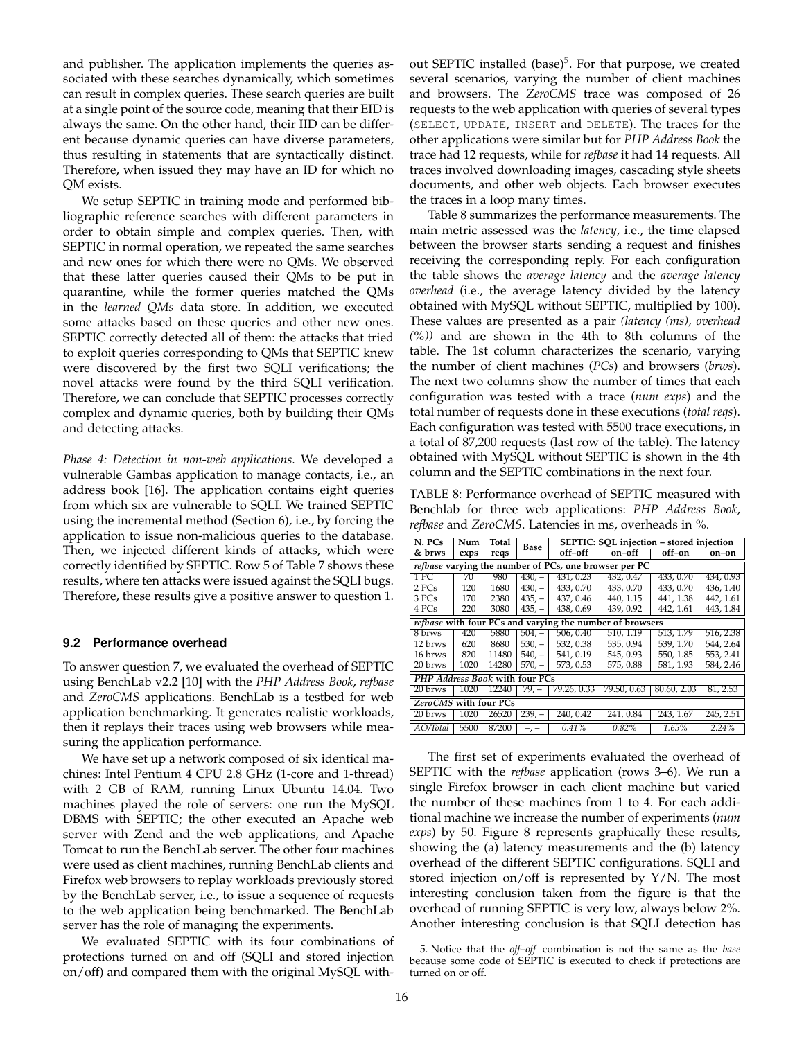and publisher. The application implements the queries associated with these searches dynamically, which sometimes can result in complex queries. These search queries are built at a single point of the source code, meaning that their EID is always the same. On the other hand, their IID can be different because dynamic queries can have diverse parameters, thus resulting in statements that are syntactically distinct. Therefore, when issued they may have an ID for which no QM exists.

We setup SEPTIC in training mode and performed bibliographic reference searches with different parameters in order to obtain simple and complex queries. Then, with SEPTIC in normal operation, we repeated the same searches and new ones for which there were no QMs. We observed that these latter queries caused their QMs to be put in quarantine, while the former queries matched the QMs in the *learned QMs* data store. In addition, we executed some attacks based on these queries and other new ones. SEPTIC correctly detected all of them: the attacks that tried to exploit queries corresponding to QMs that SEPTIC knew were discovered by the first two SQLI verifications; the novel attacks were found by the third SQLI verification. Therefore, we can conclude that SEPTIC processes correctly complex and dynamic queries, both by building their QMs and detecting attacks.

*Phase 4: Detection in non-web applications.* We developed a vulnerable Gambas application to manage contacts, i.e., an address book [16]. The application contains eight queries from which six are vulnerable to SQLI. We trained SEPTIC using the incremental method (Section 6), i.e., by forcing the application to issue non-malicious queries to the database. Then, we injected different kinds of attacks, which were correctly identified by SEPTIC. Row 5 of Table 7 shows these results, where ten attacks were issued against the SQLI bugs. Therefore, these results give a positive answer to question 1.

#### **9.2 Performance overhead**

To answer question 7, we evaluated the overhead of SEPTIC using BenchLab v2.2 [10] with the *PHP Address Book*, *refbase* and *ZeroCMS* applications. BenchLab is a testbed for web application benchmarking. It generates realistic workloads, then it replays their traces using web browsers while measuring the application performance.

We have set up a network composed of six identical machines: Intel Pentium 4 CPU 2.8 GHz (1-core and 1-thread) with 2 GB of RAM, running Linux Ubuntu 14.04. Two machines played the role of servers: one run the MySQL DBMS with SEPTIC; the other executed an Apache web server with Zend and the web applications, and Apache Tomcat to run the BenchLab server. The other four machines were used as client machines, running BenchLab clients and Firefox web browsers to replay workloads previously stored by the BenchLab server, i.e., to issue a sequence of requests to the web application being benchmarked. The BenchLab server has the role of managing the experiments.

We evaluated SEPTIC with its four combinations of protections turned on and off (SQLI and stored injection on/off) and compared them with the original MySQL without SEPTIC installed (base)<sup>5</sup>. For that purpose, we created several scenarios, varying the number of client machines and browsers. The *ZeroCMS* trace was composed of 26 requests to the web application with queries of several types (SELECT, UPDATE, INSERT and DELETE). The traces for the other applications were similar but for *PHP Address Book* the trace had 12 requests, while for *refbase* it had 14 requests. All traces involved downloading images, cascading style sheets documents, and other web objects. Each browser executes the traces in a loop many times.

Table 8 summarizes the performance measurements. The main metric assessed was the *latency*, i.e., the time elapsed between the browser starts sending a request and finishes receiving the corresponding reply. For each configuration the table shows the *average latency* and the *average latency overhead* (i.e., the average latency divided by the latency obtained with MySQL without SEPTIC, multiplied by 100). These values are presented as a pair *(latency (ms), overhead (%))* and are shown in the 4th to 8th columns of the table. The 1st column characterizes the scenario, varying the number of client machines (*PCs*) and browsers (*brws*). The next two columns show the number of times that each configuration was tested with a trace (*num exps*) and the total number of requests done in these executions (*total reqs*). Each configuration was tested with 5500 trace executions, in a total of 87,200 requests (last row of the table). The latency obtained with MySQL without SEPTIC is shown in the 4th column and the SEPTIC combinations in the next four.

TABLE 8: Performance overhead of SEPTIC measured with Benchlab for three web applications: *PHP Address Book*, *refbase* and *ZeroCMS*. Latencies in ms, overheads in %.

| $N.$ PCs                                                     | Num                   | Total | Base     | SEPTIC: SQL injection - stored injection |                                                                 |             |           |  |  |  |
|--------------------------------------------------------------|-----------------------|-------|----------|------------------------------------------|-----------------------------------------------------------------|-------------|-----------|--|--|--|
| & brws                                                       | exps                  | reqs  |          | off-off                                  | on-off                                                          | off–on      | on-on     |  |  |  |
| <i>refbase</i> varying the number of PCs, one browser per PC |                       |       |          |                                          |                                                                 |             |           |  |  |  |
| 1PC                                                          | 70                    | 980   | $430 -$  | 431, 0.23                                | 432, 0.47                                                       | 433, 0.70   | 434, 0.93 |  |  |  |
| 2 PCs                                                        | 120                   | 1680  | $430 -$  | 433, 0.70                                | 433, 0.70                                                       | 433, 0.70   | 436, 1.40 |  |  |  |
| 3 PCs                                                        | 170                   | 2380  | $435, -$ | 437, 0.46                                | 440, 1.15                                                       | 441, 1.38   | 442, 1.61 |  |  |  |
| 4 PCs                                                        | 220                   | 3080  | $435, -$ | 438, 0.69                                | 439, 0.92                                                       | 442, 1.61   | 443, 1.84 |  |  |  |
|                                                              |                       |       |          |                                          | <i>refbase</i> with four PCs and varying the number of browsers |             |           |  |  |  |
| 8 brws                                                       | 420                   | 5880  | $504, -$ | 506.0.40                                 | 510.1.19                                                        | 513.1.79    | 516, 2.38 |  |  |  |
| 12 brws                                                      | 620                   | 8680  | $530, -$ | 532, 0.38                                | 535, 0.94                                                       | 539, 1.70   | 544, 2.64 |  |  |  |
| 16 brws                                                      | 820                   | 11480 | $540 -$  | 541, 0.19                                | 545, 0.93                                                       | 550, 1.85   | 553, 2.41 |  |  |  |
| 20 brws                                                      | 1020                  | 14280 | $570, -$ | 573, 0.53                                | 575, 0.88                                                       | 581, 1.93   | 584, 2.46 |  |  |  |
| PHP Address Book with four PCs                               |                       |       |          |                                          |                                                                 |             |           |  |  |  |
| 20 brws                                                      | 1020                  | 12240 | 79, –    | 79.26, 0.33                              | 79.50, 0.63                                                     | 80.60, 2.03 | 81, 2.53  |  |  |  |
|                                                              | ZeroCMS with four PCs |       |          |                                          |                                                                 |             |           |  |  |  |
| 20 brws                                                      | 1020                  | 26520 | $239 -$  | 240, 0.42                                | 241, 0.84                                                       | 243, 1.67   | 245, 2.51 |  |  |  |
| AO/Total                                                     | 5500                  | 87200 |          | 0.41%                                    | 0.82%                                                           | 1.65%       | 2.24%     |  |  |  |

The first set of experiments evaluated the overhead of SEPTIC with the *refbase* application (rows 3–6). We run a single Firefox browser in each client machine but varied the number of these machines from 1 to 4. For each additional machine we increase the number of experiments (*num exps*) by 50. Figure 8 represents graphically these results, showing the (a) latency measurements and the (b) latency overhead of the different SEPTIC configurations. SQLI and stored injection on/off is represented by Y/N. The most interesting conclusion taken from the figure is that the overhead of running SEPTIC is very low, always below 2%. Another interesting conclusion is that SQLI detection has

5. Notice that the *off–off* combination is not the same as the *base* because some code of SEPTIC is executed to check if protections are turned on or off.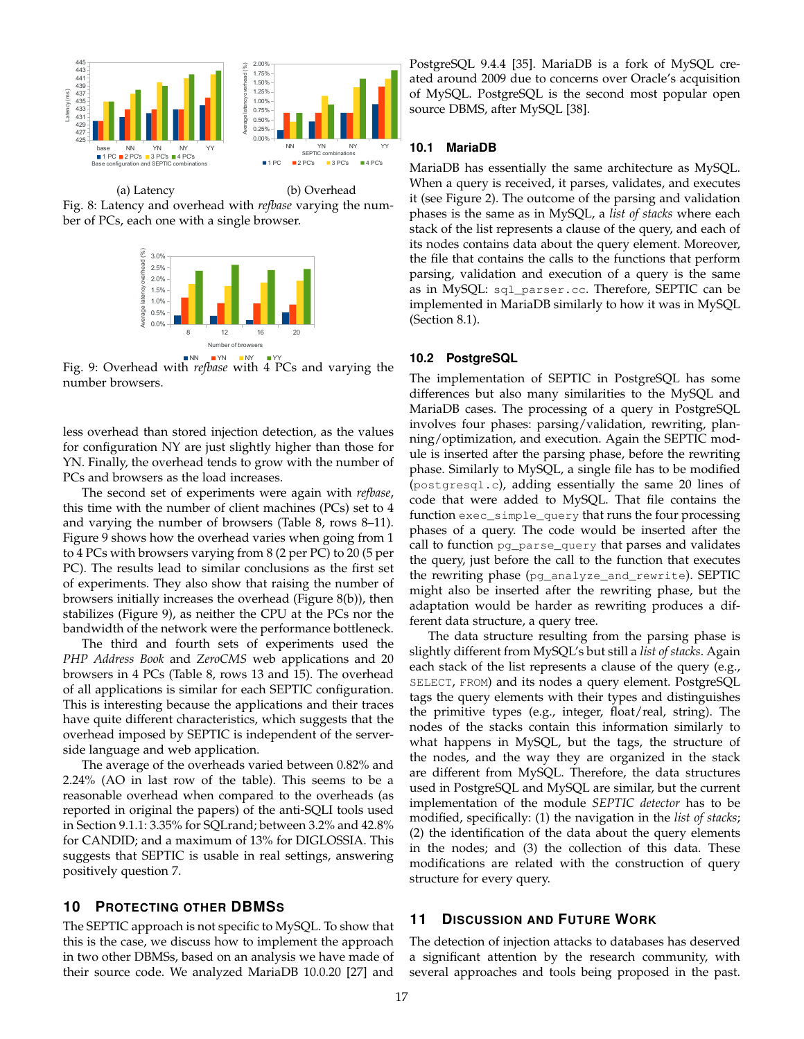

(a) Latency ber of PCs, each one with a single browser. Fig. 8: Latency and overhead with *refbase* varying the num-(b) Overhead



Fig. 9: Overhead with *refbase* with 4 PCs and varying the number browsers.

less overhead than stored injection detection, as the values for configuration NY are just slightly higher than those for YN. Finally, the overhead tends to grow with the number of PCs and browsers as the load increases.

The second set of experiments were again with *refbase*, this time with the number of client machines (PCs) set to 4 and varying the number of browsers (Table 8, rows 8–11). Figure 9 shows how the overhead varies when going from 1 to 4 PCs with browsers varying from 8 (2 per PC) to 20 (5 per PC). The results lead to similar conclusions as the first set of experiments. They also show that raising the number of browsers initially increases the overhead (Figure 8(b)), then stabilizes (Figure 9), as neither the CPU at the PCs nor the bandwidth of the network were the performance bottleneck.

The third and fourth sets of experiments used the *PHP Address Book* and *ZeroCMS* web applications and 20 browsers in 4 PCs (Table 8, rows 13 and 15). The overhead of all applications is similar for each SEPTIC configuration. This is interesting because the applications and their traces have quite different characteristics, which suggests that the overhead imposed by SEPTIC is independent of the serverside language and web application.

The average of the overheads varied between 0.82% and 2.24% (AO in last row of the table). This seems to be a reasonable overhead when compared to the overheads (as reported in original the papers) of the anti-SQLI tools used in Section 9.1.1: 3.35% for SQLrand; between 3.2% and 42.8% for CANDID; and a maximum of 13% for DIGLOSSIA. This suggests that SEPTIC is usable in real settings, answering positively question 7.

# **10 PROTECTING OTHER DBMSS**

The SEPTIC approach is not specific to MySQL. To show that this is the case, we discuss how to implement the approach in two other DBMSs, based on an analysis we have made of their source code. We analyzed MariaDB 10.0.20 [27] and

PostgreSQL 9.4.4 [35]. MariaDB is a fork of MySQL created around 2009 due to concerns over Oracle's acquisition of MySQL. PostgreSQL is the second most popular open source DBMS, after MySQL [38].

#### **10.1 MariaDB**

MariaDB has essentially the same architecture as MySQL. When a query is received, it parses, validates, and executes it (see Figure 2). The outcome of the parsing and validation phases is the same as in MySQL, a *list of stacks* where each stack of the list represents a clause of the query, and each of its nodes contains data about the query element. Moreover, the file that contains the calls to the functions that perform parsing, validation and execution of a query is the same as in MySQL: sql\_parser.cc. Therefore, SEPTIC can be implemented in MariaDB similarly to how it was in MySQL (Section 8.1).

#### **10.2 PostgreSQL**

The implementation of SEPTIC in PostgreSQL has some differences but also many similarities to the MySQL and MariaDB cases. The processing of a query in PostgreSQL involves four phases: parsing/validation, rewriting, planning/optimization, and execution. Again the SEPTIC module is inserted after the parsing phase, before the rewriting phase. Similarly to MySQL, a single file has to be modified (postgresql.c), adding essentially the same 20 lines of code that were added to MySQL. That file contains the function exec\_simple\_query that runs the four processing phases of a query. The code would be inserted after the call to function pg\_parse\_query that parses and validates the query, just before the call to the function that executes the rewriting phase (pg\_analyze\_and\_rewrite). SEPTIC might also be inserted after the rewriting phase, but the adaptation would be harder as rewriting produces a different data structure, a query tree.

The data structure resulting from the parsing phase is slightly different from MySQL's but still a *list of stacks*. Again each stack of the list represents a clause of the query (e.g., SELECT, FROM) and its nodes a query element. PostgreSQL tags the query elements with their types and distinguishes the primitive types (e.g., integer, float/real, string). The nodes of the stacks contain this information similarly to what happens in MySQL, but the tags, the structure of the nodes, and the way they are organized in the stack are different from MySQL. Therefore, the data structures used in PostgreSQL and MySQL are similar, but the current implementation of the module *SEPTIC detector* has to be modified, specifically: (1) the navigation in the *list of stacks*; (2) the identification of the data about the query elements in the nodes; and (3) the collection of this data. These modifications are related with the construction of query structure for every query.

## **11 DISCUSSION AND FUTURE WORK**

The detection of injection attacks to databases has deserved a significant attention by the research community, with several approaches and tools being proposed in the past.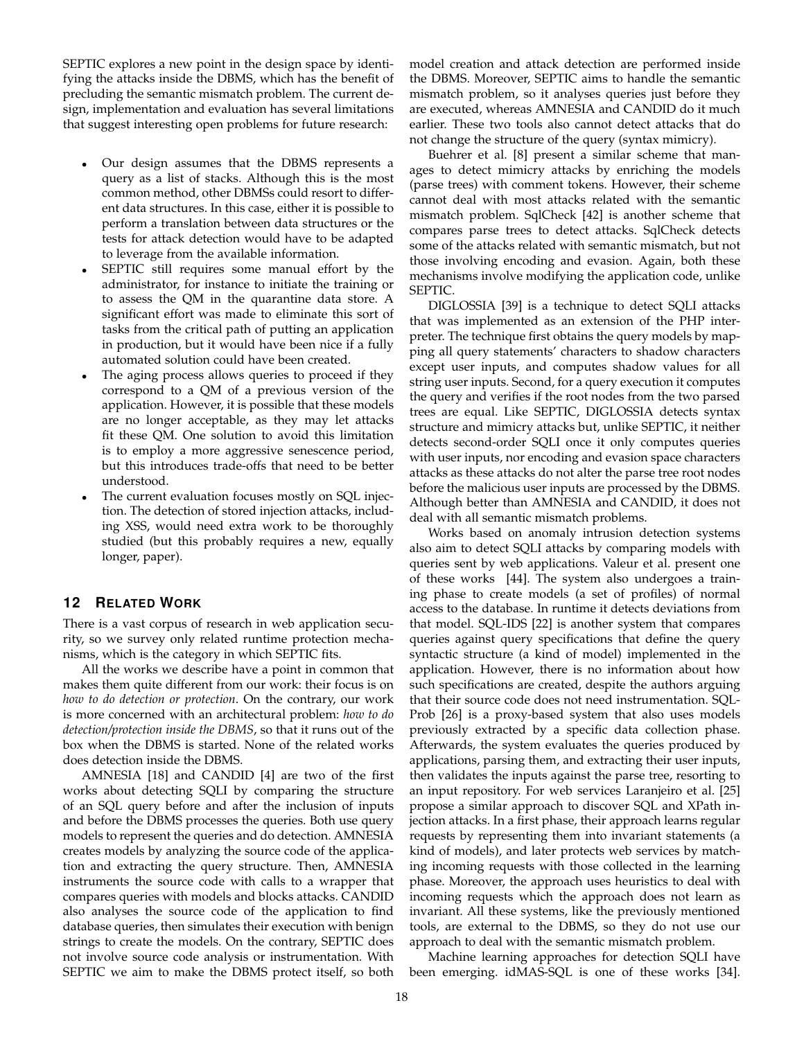SEPTIC explores a new point in the design space by identifying the attacks inside the DBMS, which has the benefit of precluding the semantic mismatch problem. The current design, implementation and evaluation has several limitations that suggest interesting open problems for future research:

- Our design assumes that the DBMS represents a query as a list of stacks. Although this is the most common method, other DBMSs could resort to different data structures. In this case, either it is possible to perform a translation between data structures or the tests for attack detection would have to be adapted to leverage from the available information.
- SEPTIC still requires some manual effort by the administrator, for instance to initiate the training or to assess the QM in the quarantine data store. A significant effort was made to eliminate this sort of tasks from the critical path of putting an application in production, but it would have been nice if a fully automated solution could have been created.
- The aging process allows queries to proceed if they correspond to a QM of a previous version of the application. However, it is possible that these models are no longer acceptable, as they may let attacks fit these QM. One solution to avoid this limitation is to employ a more aggressive senescence period, but this introduces trade-offs that need to be better understood.
- The current evaluation focuses mostly on SQL injection. The detection of stored injection attacks, including XSS, would need extra work to be thoroughly studied (but this probably requires a new, equally longer, paper).

# **12 RELATED WORK**

There is a vast corpus of research in web application security, so we survey only related runtime protection mechanisms, which is the category in which SEPTIC fits.

All the works we describe have a point in common that makes them quite different from our work: their focus is on *how to do detection or protection*. On the contrary, our work is more concerned with an architectural problem: *how to do detection/protection inside the DBMS*, so that it runs out of the box when the DBMS is started. None of the related works does detection inside the DBMS.

AMNESIA [18] and CANDID [4] are two of the first works about detecting SQLI by comparing the structure of an SQL query before and after the inclusion of inputs and before the DBMS processes the queries. Both use query models to represent the queries and do detection. AMNESIA creates models by analyzing the source code of the application and extracting the query structure. Then, AMNESIA instruments the source code with calls to a wrapper that compares queries with models and blocks attacks. CANDID also analyses the source code of the application to find database queries, then simulates their execution with benign strings to create the models. On the contrary, SEPTIC does not involve source code analysis or instrumentation. With SEPTIC we aim to make the DBMS protect itself, so both

model creation and attack detection are performed inside the DBMS. Moreover, SEPTIC aims to handle the semantic mismatch problem, so it analyses queries just before they are executed, whereas AMNESIA and CANDID do it much earlier. These two tools also cannot detect attacks that do not change the structure of the query (syntax mimicry).

Buehrer et al. [8] present a similar scheme that manages to detect mimicry attacks by enriching the models (parse trees) with comment tokens. However, their scheme cannot deal with most attacks related with the semantic mismatch problem. SqlCheck [42] is another scheme that compares parse trees to detect attacks. SqlCheck detects some of the attacks related with semantic mismatch, but not those involving encoding and evasion. Again, both these mechanisms involve modifying the application code, unlike SEPTIC.

DIGLOSSIA [39] is a technique to detect SQLI attacks that was implemented as an extension of the PHP interpreter. The technique first obtains the query models by mapping all query statements' characters to shadow characters except user inputs, and computes shadow values for all string user inputs. Second, for a query execution it computes the query and verifies if the root nodes from the two parsed trees are equal. Like SEPTIC, DIGLOSSIA detects syntax structure and mimicry attacks but, unlike SEPTIC, it neither detects second-order SQLI once it only computes queries with user inputs, nor encoding and evasion space characters attacks as these attacks do not alter the parse tree root nodes before the malicious user inputs are processed by the DBMS. Although better than AMNESIA and CANDID, it does not deal with all semantic mismatch problems.

Works based on anomaly intrusion detection systems also aim to detect SQLI attacks by comparing models with queries sent by web applications. Valeur et al. present one of these works [44]. The system also undergoes a training phase to create models (a set of profiles) of normal access to the database. In runtime it detects deviations from that model. SQL-IDS [22] is another system that compares queries against query specifications that define the query syntactic structure (a kind of model) implemented in the application. However, there is no information about how such specifications are created, despite the authors arguing that their source code does not need instrumentation. SQL-Prob [26] is a proxy-based system that also uses models previously extracted by a specific data collection phase. Afterwards, the system evaluates the queries produced by applications, parsing them, and extracting their user inputs, then validates the inputs against the parse tree, resorting to an input repository. For web services Laranjeiro et al. [25] propose a similar approach to discover SQL and XPath injection attacks. In a first phase, their approach learns regular requests by representing them into invariant statements (a kind of models), and later protects web services by matching incoming requests with those collected in the learning phase. Moreover, the approach uses heuristics to deal with incoming requests which the approach does not learn as invariant. All these systems, like the previously mentioned tools, are external to the DBMS, so they do not use our approach to deal with the semantic mismatch problem.

Machine learning approaches for detection SQLI have been emerging. idMAS-SQL is one of these works [34].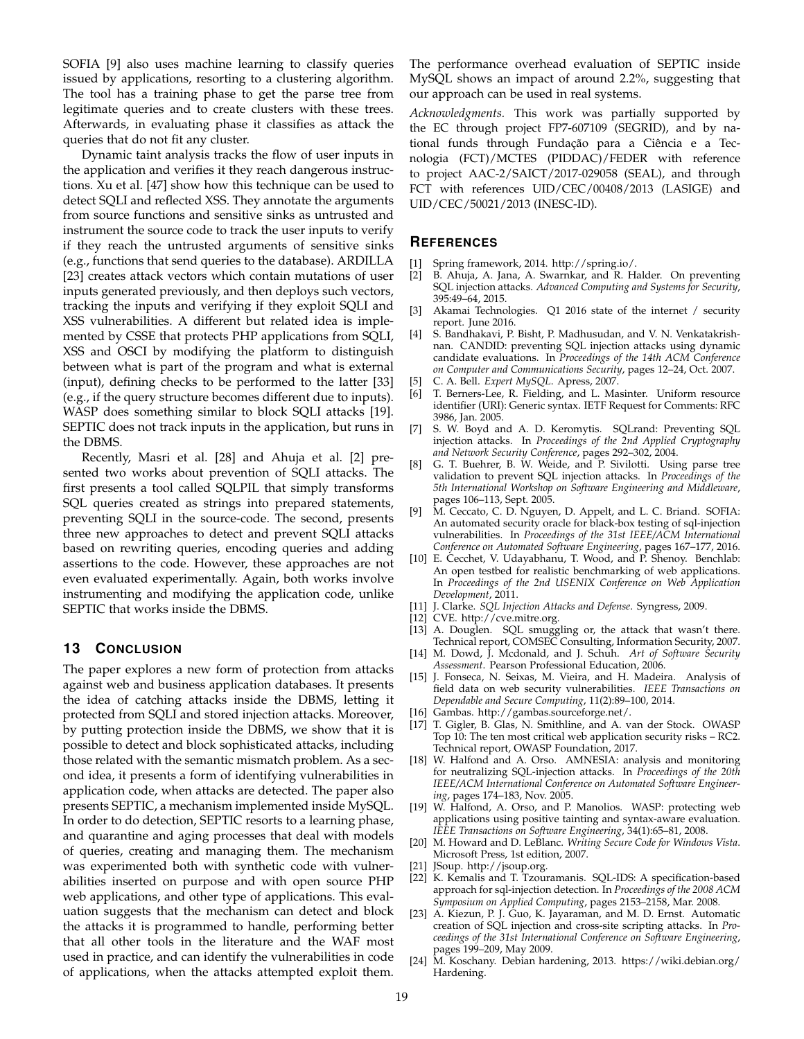SOFIA [9] also uses machine learning to classify queries issued by applications, resorting to a clustering algorithm. The tool has a training phase to get the parse tree from legitimate queries and to create clusters with these trees. Afterwards, in evaluating phase it classifies as attack the queries that do not fit any cluster.

Dynamic taint analysis tracks the flow of user inputs in the application and verifies it they reach dangerous instructions. Xu et al. [47] show how this technique can be used to detect SQLI and reflected XSS. They annotate the arguments from source functions and sensitive sinks as untrusted and instrument the source code to track the user inputs to verify if they reach the untrusted arguments of sensitive sinks (e.g., functions that send queries to the database). ARDILLA [23] creates attack vectors which contain mutations of user inputs generated previously, and then deploys such vectors, tracking the inputs and verifying if they exploit SQLI and XSS vulnerabilities. A different but related idea is implemented by CSSE that protects PHP applications from SQLI, XSS and OSCI by modifying the platform to distinguish between what is part of the program and what is external (input), defining checks to be performed to the latter [33] (e.g., if the query structure becomes different due to inputs). WASP does something similar to block SQLI attacks [19]. SEPTIC does not track inputs in the application, but runs in the DBMS.

Recently, Masri et al. [28] and Ahuja et al. [2] presented two works about prevention of SQLI attacks. The first presents a tool called SQLPIL that simply transforms SQL queries created as strings into prepared statements, preventing SQLI in the source-code. The second, presents three new approaches to detect and prevent SQLI attacks based on rewriting queries, encoding queries and adding assertions to the code. However, these approaches are not even evaluated experimentally. Again, both works involve instrumenting and modifying the application code, unlike SEPTIC that works inside the DBMS.

# **13 CONCLUSION**

The paper explores a new form of protection from attacks against web and business application databases. It presents the idea of catching attacks inside the DBMS, letting it protected from SQLI and stored injection attacks. Moreover, by putting protection inside the DBMS, we show that it is possible to detect and block sophisticated attacks, including those related with the semantic mismatch problem. As a second idea, it presents a form of identifying vulnerabilities in application code, when attacks are detected. The paper also presents SEPTIC, a mechanism implemented inside MySQL. In order to do detection, SEPTIC resorts to a learning phase, and quarantine and aging processes that deal with models of queries, creating and managing them. The mechanism was experimented both with synthetic code with vulnerabilities inserted on purpose and with open source PHP web applications, and other type of applications. This evaluation suggests that the mechanism can detect and block the attacks it is programmed to handle, performing better that all other tools in the literature and the WAF most used in practice, and can identify the vulnerabilities in code of applications, when the attacks attempted exploit them.

The performance overhead evaluation of SEPTIC inside MySQL shows an impact of around 2.2%, suggesting that our approach can be used in real systems.

*Acknowledgments.* This work was partially supported by the EC through project FP7-607109 (SEGRID), and by national funds through Fundação para a Ciência e a Tecnologia (FCT)/MCTES (PIDDAC)/FEDER with reference to project AAC-2/SAICT/2017-029058 (SEAL), and through FCT with references UID/CEC/00408/2013 (LASIGE) and UID/CEC/50021/2013 (INESC-ID).

## **REFERENCES**

- [1] Spring framework, 2014. http://spring.io/.
- [2] B. Ahuja, A. Jana, A. Swarnkar, and R. Halder. On preventing SQL injection attacks. *Advanced Computing and Systems for Security*, 395:49–64, 2015.
- [3] Akamai Technologies. Q1 2016 state of the internet / security report. June 2016.
- [4] S. Bandhakavi, P. Bisht, P. Madhusudan, and V. N. Venkatakrishnan. CANDID: preventing SQL injection attacks using dynamic candidate evaluations. In *Proceedings of the 14th ACM Conference on Computer and Communications Security*, pages 12–24, Oct. 2007.
- [5] C. A. Bell. *Expert MySQL*. Apress, 2007.
- [6] T. Berners-Lee, R. Fielding, and L. Masinter. Uniform resource identifier (URI): Generic syntax. IETF Request for Comments: RFC 3986, Jan. 2005.
- [7] S. W. Boyd and A. D. Keromytis. SQLrand: Preventing SQL injection attacks. In *Proceedings of the 2nd Applied Cryptography and Network Security Conference*, pages 292–302, 2004.
- [8] G. T. Buehrer, B. W. Weide, and P. Sivilotti. Using parse tree validation to prevent SQL injection attacks. In *Proceedings of the 5th International Workshop on Software Engineering and Middleware*, pages 106–113, Sept. 2005.
- [9] M. Ceccato, C. D. Nguyen, D. Appelt, and L. C. Briand. SOFIA: An automated security oracle for black-box testing of sql-injection vulnerabilities. In *Proceedings of the 31st IEEE/ACM International Conference on Automated Software Engineering*, pages 167–177, 2016.
- [10] E. Cecchet, V. Udayabhanu, T. Wood, and P. Shenoy. Benchlab: An open testbed for realistic benchmarking of web applications. In *Proceedings of the 2nd USENIX Conference on Web Application Development*, 2011.
- [11] J. Clarke. *SQL Injection Attacks and Defense*. Syngress, 2009.
- [12] CVE. http://cve.mitre.org.
- [13] A. Douglen. SQL smuggling or, the attack that wasn't there. Technical report, COMSEC Consulting, Information Security, 2007.
- [14] M. Dowd, J. Mcdonald, and J. Schuh. *Art of Software Security Assessment*. Pearson Professional Education, 2006.
- [15] J. Fonseca, N. Seixas, M. Vieira, and H. Madeira. Analysis of field data on web security vulnerabilities. *IEEE Transactions on Dependable and Secure Computing*, 11(2):89–100, 2014.
- [16] Gambas. http://gambas.sourceforge.net/.
- [17] T. Gigler, B. Glas, N. Smithline, and A. van der Stock. OWASP Top 10: The ten most critical web application security risks – RC2. Technical report, OWASP Foundation, 2017.
- [18] W. Halfond and A. Orso. AMNESIA: analysis and monitoring for neutralizing SQL-injection attacks. In *Proceedings of the 20th IEEE/ACM International Conference on Automated Software Engineering*, pages 174–183, Nov. 2005.
- [19] W. Halfond, A. Orso, and P. Manolios. WASP: protecting web applications using positive tainting and syntax-aware evaluation. *IEEE Transactions on Software Engineering*, 34(1):65–81, 2008.
- [20] M. Howard and D. LeBlanc. *Writing Secure Code for Windows Vista*. Microsoft Press, 1st edition, 2007.
- [21] JSoup. http://jsoup.org.
- [22] K. Kemalis and T. Tzouramanis. SQL-IDS: A specification-based approach for sql-injection detection. In *Proceedings of the 2008 ACM Symposium on Applied Computing*, pages 2153–2158, Mar. 2008.
- [23] A. Kiezun, P. J. Guo, K. Jayaraman, and M. D. Ernst. Automatic creation of SQL injection and cross-site scripting attacks. In *Proceedings of the 31st International Conference on Software Engineering*, pages 199–209, May 2009.
- [24] M. Koschany. Debian hardening, 2013. https://wiki.debian.org/ Hardening.